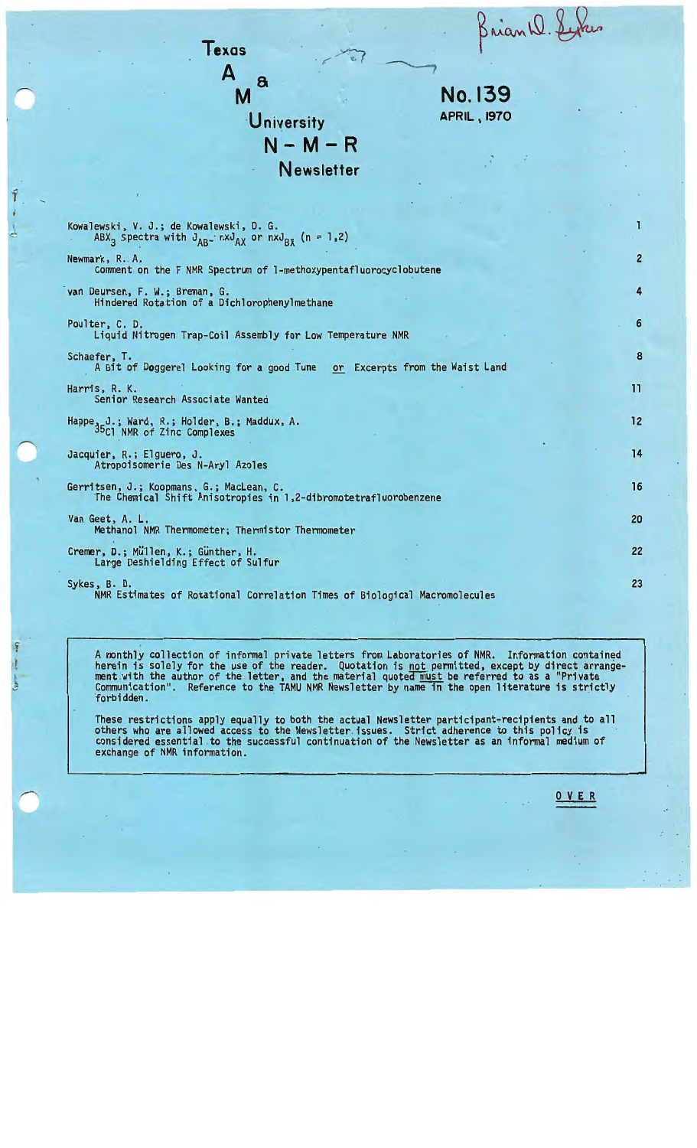Brian W. Lykes

## **a**  $University$ **N-M-R**

**Newsletter** 

**TexQs** 

**A** 

**M** 

f

! *t:* 

# **No.139**

| Kowalewski, V. J.; de Kowalewski, D. G.<br>ABX <sub>3</sub> Spectra with $J_{AB}$ - nx $J_{AX}$ or nx $J_{BX}$ (n = 1,2) |              |
|--------------------------------------------------------------------------------------------------------------------------|--------------|
| Newmark, R.A.<br>Comment on the F NMR Spectrum of 1-methoxypentafluorocyclobutene                                        | $\mathbf{2}$ |
| van Deursen, F. W.; Breman, G.<br>Hindered Rotation of a Dichlorophenylmethane                                           | 4            |
| Poulter, C. D.<br>Liquid Nitrogen Trap-Coil Assembly for Low Temperature NMR                                             | 6            |
| Schaefer, T.<br>A Bit of Doggerel Looking for a good Tune<br>or Excerpts from the Waist Land                             | 8            |
| Harris, R. K.<br>Senior Research Associate Wanted                                                                        | 11           |
| Happe <sub>3.</sub> J.; Ward, R.; Holder, B.; Maddux, A.<br>35C1 NMR of Zinc Complexes                                   | 12           |
| Jacquier, R.; Elguero, J.<br>Atropoisomerie Des N-Aryl Azoles                                                            | 14           |
| Gerritsen, J.; Koopmans, G.; MacLean, C.<br>The Chemical Shift Anisotropies in 1,2-dibromotetrafluorobenzene             | 16           |
| Van Geet, A. L.<br>Methanol NMR Thermometer; Thermistor Thermometer                                                      | 20           |
| Cremer, D.; Müllen, K.; Günther, H.<br>Large Deshielding Effect of Sulfur                                                | 22           |
| Sykes, B. D.<br>NMR Estimates of Rotational Correlation Times of Biological Macromolecules                               | 23           |

A monthly collection of informal private letters from Laboratories of NMR. Information contained herein is solely for the use of the reader. Quotation is not permitted, except by direct arrangement with the author of the letter, and the material quoted must be referred to as a "Private Communication". Reference to the TAMU NMR Newsletter by name in the open literature is strictly forbidden.

These restrictions apply equally to both the actual Newsletter participant~recipients and to all others who are allowed access to the Newsletter. issues. Strict adherence to this policy is considered essential .to the successful continuation of the Newsletter as an informal medium of exchange of NMR information.

0 V E R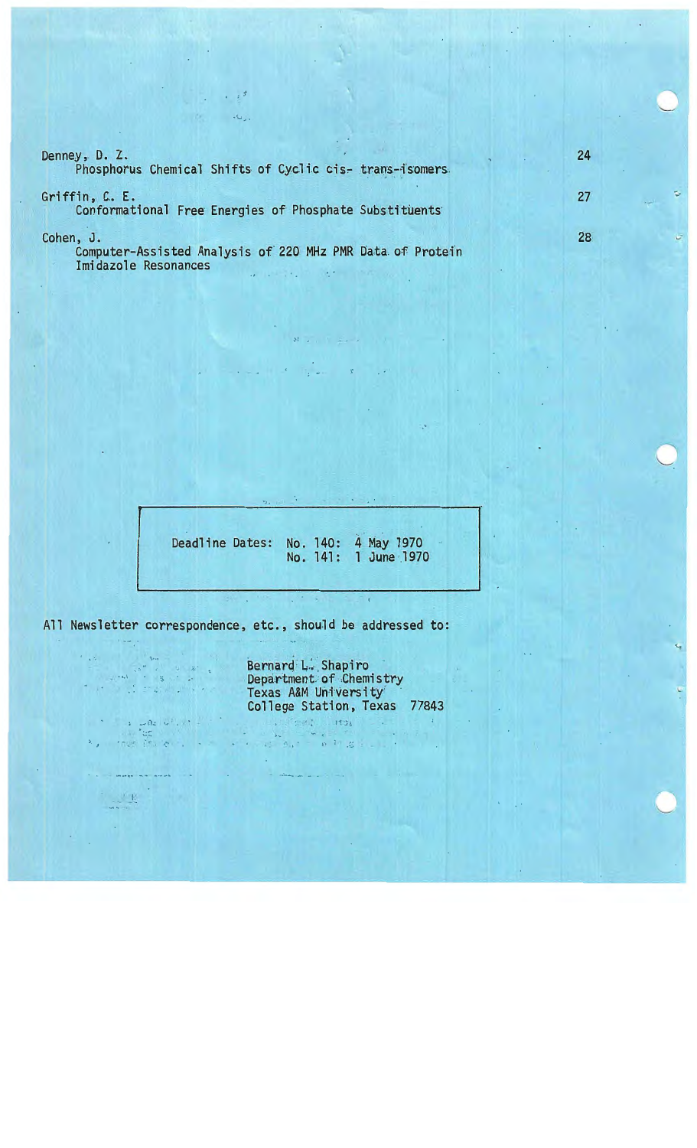| Denney, D. Z.<br>Phosphorus Chemical Shifts of Cyclic cis- trans-isomers. | 24 |
|---------------------------------------------------------------------------|----|
| Griffin, C. E.<br>Conformational Free Energies of Phosphate Substituents  | 27 |
| Cohen, J.<br>Computer-Assisted Analysis of 220 MHz PMR Data of Protein    | 28 |

1. 韩文 1. 朱元

 $\epsilon \approx t$ 

 $\label{eq:4} \mathcal{O}(\mathcal{O}_{\mathcal{O}_{\mathcal{O}_{\mathcal{O}}}}) = \mathcal{O}_{\mathcal{O}_{\mathcal{O}_{\mathcal{O}}}}$ 

Imidazole Resonances

 $m = m$ 

一些程

Deadline Dates: No. 140: 4 May 1970<br>No. 141: 1 June 1970

All Newsletter correspondence, etc., should be addressed to:

Bernard L. Shapiro Department of Chemistry<br>Texas A&M University College Station, Texas 77843 

**The Secret State**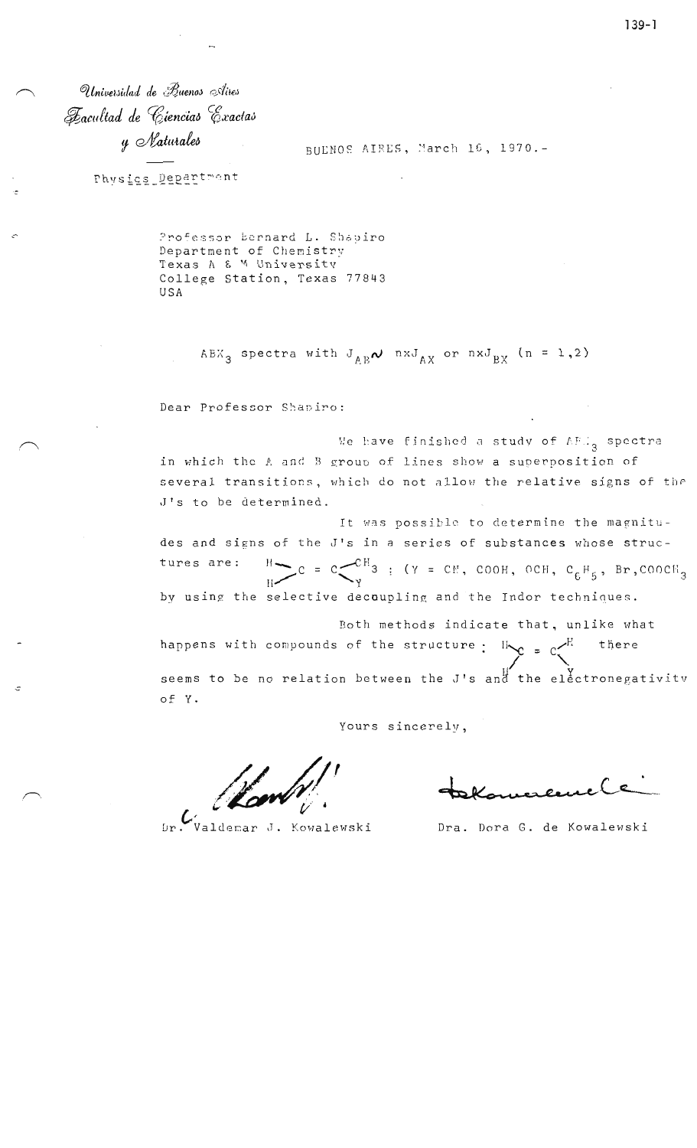Universidad de Buenos Aires Facultad de Ciencias Exactas y *Maturales* 

BUENOS AIRES, March 16, 1970.-

Physics Department

Professor Bernard L. Shapiro Department of Chemistry Texas A & M University College Station, Texas 77843 USA

 $ABX_3$  spectra with  $J_{AB}^{\dagger} \sim n \times J_{AX}^{\dagger}$  or  $nxJ_{BX}^{\dagger}$  (n = 1,2)

Dear Professor Shapiro:

We have finished a study of AFI, spectra in which the A and B group of lines show a superposition of several transitions, which do not allow the relative signs of the J's to be determined.

It was possible to determine the magnitudes and signs of the J's in a series of substances whose struc- $C = C \frac{CH}{v}$  :  $(Y = CH, COM, OCH, C<sub>E</sub>H<sub>5</sub>, Br, COOCH<sub>3</sub>)$ tures are: by using the selective decoupling and the Indor techniques.

Both methods indicate that, unlike what happens with compounds of the structure:  $\frac{11}{10}$  =  $c$ <sup>H</sup> there seems to be no relation between the J's and the electronegativity of Y.

Yours sincerely,

(Low/

Dra. Dora G. de Kowalewski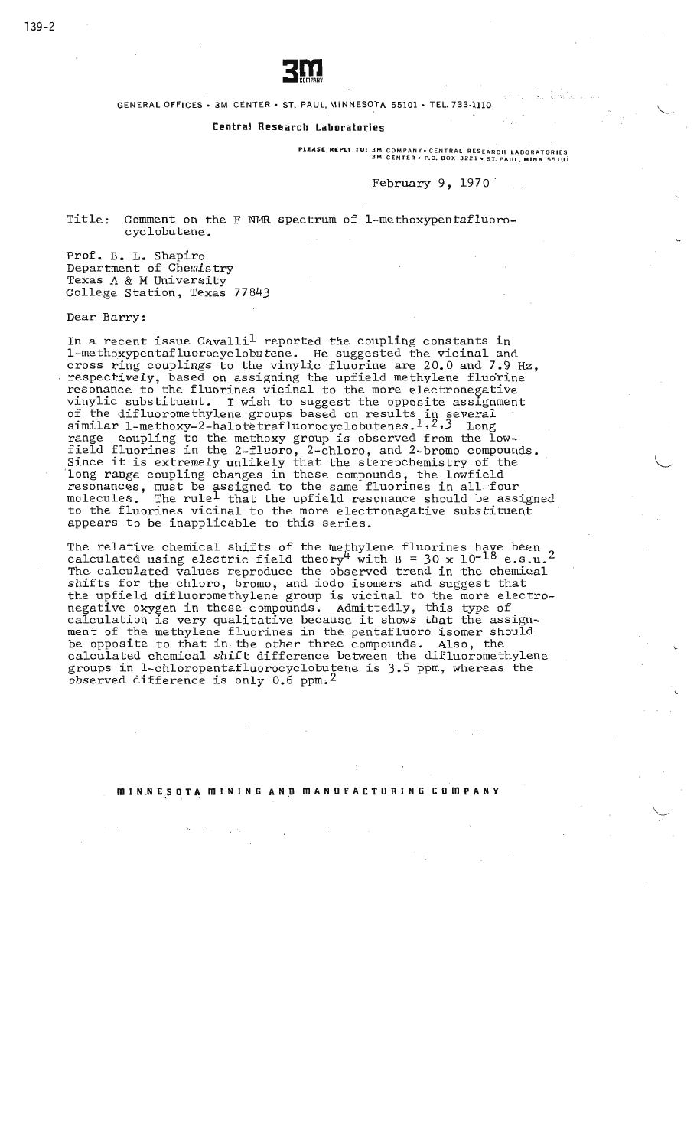## GENERAL OFFICES• 3M CENTER• ST. PAUL, MINNESOTA 55101 • TEL. 733-1110

#### **Central Research Laboratories**

**PLEASE . REPLY TO: 3 M COMPANY• C ENTRAL RESEAR ~ H LABO.RATORJES 3M CENTER• P.O. BOX 3 22 1 •ST.PAUL. MINN. 5510i** 

#### February 9, 1970

L

I.·

Title: Comment on the F **NMR** spectrum of 1-methoxypentafluorocyclobutene.

Prof. B. L. Shapiro Department of Chemistry Texas A & M University College Station, Texas 77843

Dear Barry:

In a recent issue Cavalli<sup>1</sup> reported the coupling constants in 1-methoxypentafluorocyclobutene. He suggested the vicinal and cross ring couplings to the vinylic fluorine are 20.0 and 7.9 Hz, respectively, based on assigning the upfield methylene fluorine resonance to the fluorines vicinal to the more electronegative vinylic substituent. I wish to suggest the opposite assignment of the difluoromethylene groups based on results in several similar 1-methoxy-2-halotetrafluorocyclobutenes.<sup>1</sup>,2,3 Long range coupling to the methoxy group is observed from the lowfield fluorines in the 2-fluoro, 2-chloro, and 2-bromo compounds. Since it is extremely unlikely that the stereochemistry of the long range coupling changes in these compounds, the lowfield rong range coupiling changes in these compounds, the lowfleid<br>resonances, must be assigned to the same fluorines in all four resonances, mase be assigned to the same fractines in afficial to the fluorines vicinal to the more electronegative substituent appears to be inapplicable to this series.

The relative chemical shifts of the methylene fluorines have been calculated using electric field theory<sup>4</sup> with B =  $30 \times 10^{-18}$  e.s.u.<sup>2</sup> The calculated values reproduce the observed trend in the chemical shifts for the chloro, bromo, and iodo isomers and suggest that the upfield difluoromethylene group is vicinal to the more electronegative oxygen in these compounds. Admittedly, this type of calculation is very qualitative because it shows that the assignment of the methylene fluorines in the pentafluoro isomer should be opposite to that in the other three compounds. Also, the calculated chemical shift difference between the difluoromethylene groups in 1-chloropentafluorocyclobutene is 3.5 ppm, whereas the observed difference is only  $0.6$  ppm.<sup>2</sup>

#### **m I N ,N E ,s a T A, m I N I N G A N ,n m A N u F A C T u R I N G C a m p A N y**

139-2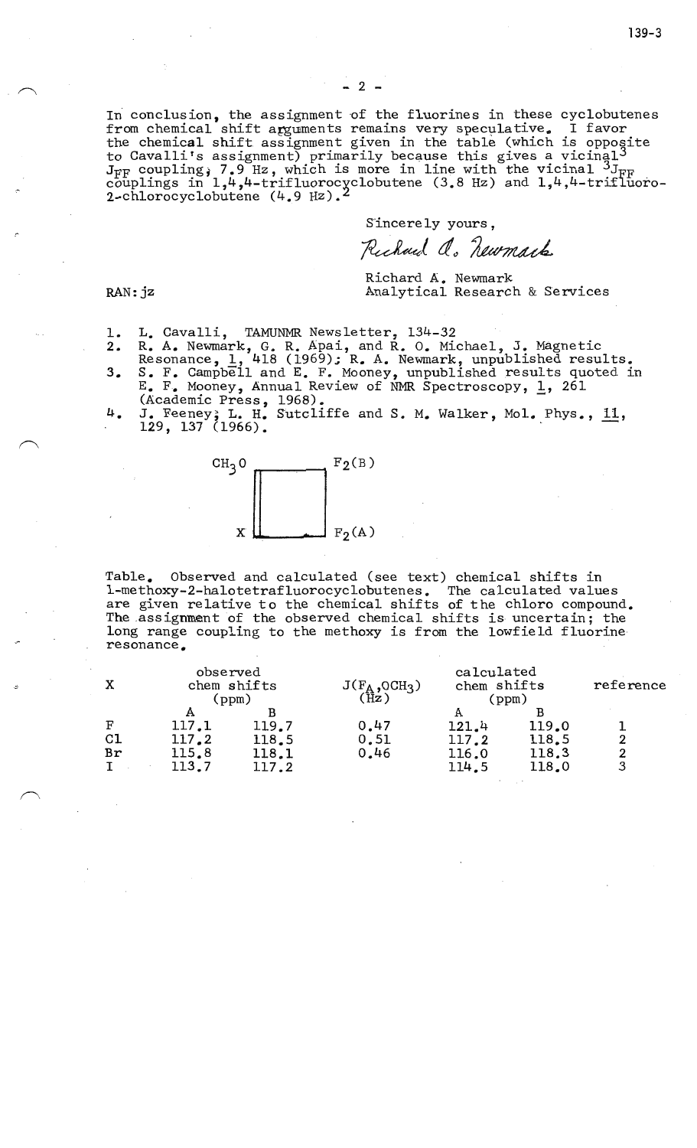In conclusion, the assignment of the fluorines in these cyclobutenes from chemical shift arguments remains very speculative. I favor the chemical shift assignment given in the table (which is opposite to Cavalli's assignment) primarily because this gives a vicingl<sup>3</sup>  $J_{FF}$  coupling, 7.9 Hz, which is more in line with the vicinal  $J_{FF}$ eft complings in 1,4,4-trifluorocyclobutene (3.8 Hz) and 1,4,4-trifluoro-<br>2-chlorocyclobutene (4.9 Hz).<sup>2</sup> 2-chlorocyclobutene (4.9 Hz).

Sincerely yours,

Richard a. newmark

Richard A. Newmark RAN: jz **Analytical Research & Services** Analytical Research & Services

"'

- 1. L. Cavalli, TAMUNMR Newsletter, 134-32
- 2. R. A. Newmark, G. R. Apai, and R. O. Michael, J. Magnetic Resonance, 1, 418 (1969); R. A. Newmark, unpublished results.<br>S. F. Campbell and E. F. Mooney, unpublished results quoted in
- 3. E. F. Mooney, Annual Review of NMR Spectroscopy,  $\underline{1}$ , 261 (Academic Press, 1968).
- 4. J. Feeney; L. H. Sutcliffe and S. M. Walker, Mol. Phys.,  $\underline{11}$ , 129, 137 (1966).



Table. Observed and calculated (see text) chemical shifts in l-methoxy-2-halotetrafluorocyclobutenes. The calculated values are given relative to the chemical shifts of the chloro compound.<br>The assignment of the observed chemical shifts is uncertain; the long range coupling to the methoxy is from the lowfield fluorine resonance.

| X  | observed<br>chem shifts<br>(ppm) |       | $J(F_A, OCH_3)$<br>(Hz) | calculated<br>chem shifts | (ppm) | reference |
|----|----------------------------------|-------|-------------------------|---------------------------|-------|-----------|
|    |                                  |       |                         |                           |       |           |
| F  | 117.1                            | 119.7 | 0.47                    | 121.4                     | 119.0 |           |
| C1 | 117.2                            | 118.5 | 0.51                    | 117.2                     | 118.5 | າ         |
| Br | 115.8                            | 118.1 | 0.46                    | 116.0                     | 118.3 |           |
|    | 113.7                            | 117.2 |                         | 114.5                     | 118.0 |           |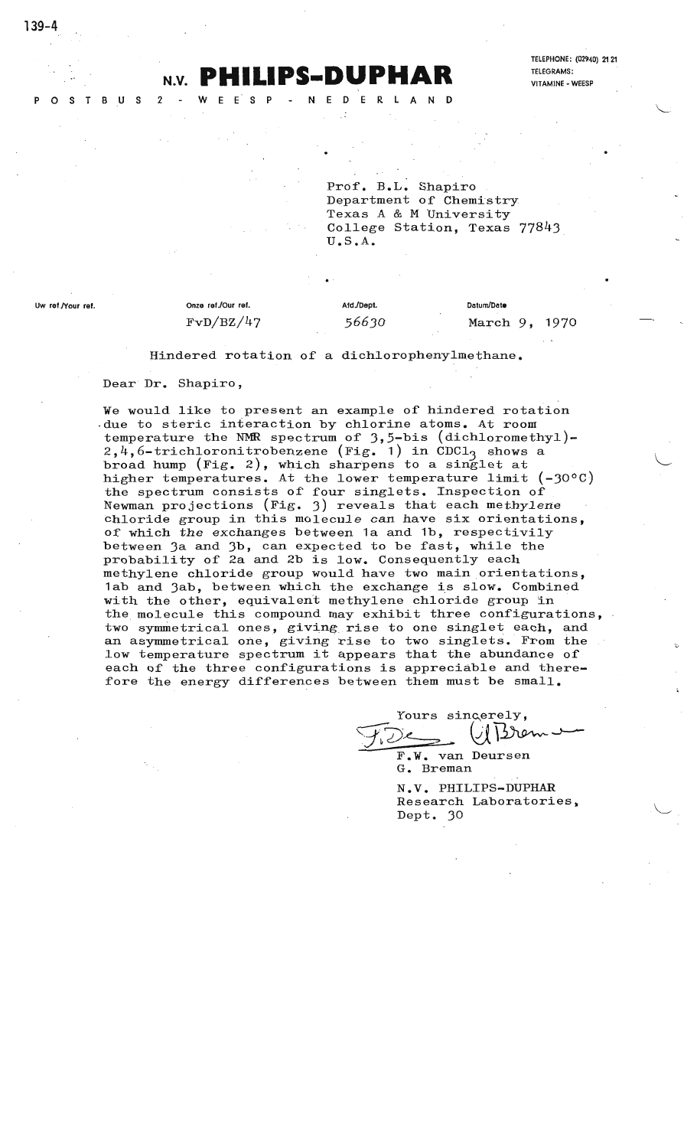## **N.V. PHILIPS-DUPHAR**

TELEPHONE: (02940) **21. 21**  TELEGRAMS: **VITAMINE** - **WEESP** 

**POSTBUS 2** W E E **S P NEDERLAND** 

Prof. B.L. Shapiro Department of Chemistry Texas A & **M** University College Station, Texas 77843 U.S.A.

Uw ref./Your ref. **DETERAL SERVICES** Onze ref./Our ref.

j

 $FvD/BZ/47$ 

AfdJDept. **Datum/Date** 

56630 March 9, 1970

Hindered rotation of a dichlorophenylmethane.

Dear Dr. Shapiro,

We would like to present an example of hindered rotation -due to steric interaction by chlorine atoms. At room temperature the NMR spectrum of  $3,5$ -bis (dichloromethyl)- $2,4,6-$ trichloronitrobenzene (Fig. 1) in CDC1<sub>3</sub> shows a broad hump  $(Fig. 2)$ , which sharpens to a singlet at higher temperatures. At the lower temperature limit  $(-30^{\circ}C)$ the spectrum consists of four singlets. Inspection of Newman projections (Fig. 3) reveals that each methylene chloride group in this molecule can have six orientations, of which the exchanges between 1a and 1b, respectivily between Ja and Jb, can expected to be fast, while the probability of 2a and 2b is low. Consequently each methylene chloride group would have two main orientations, 1ab and Jab, between which the exchange is slow. Combined with the other, equivalent methylene chloride group in the molecule this compound may exhibit three configurations, two symmetrical ones, giving rise to one singlet each, and an asymmetrical one, giving rise to two singlets. From the low temperature spectrum it appears that the abundance of each of the three configurations is appreciable and therefore the energy differences between them must be small.

Yours sincerely,  $C$  Brem

F.W. van Deursen G. Breman

N.V. PHILIPS-DUPHAR Research Laboratories, Dept. 30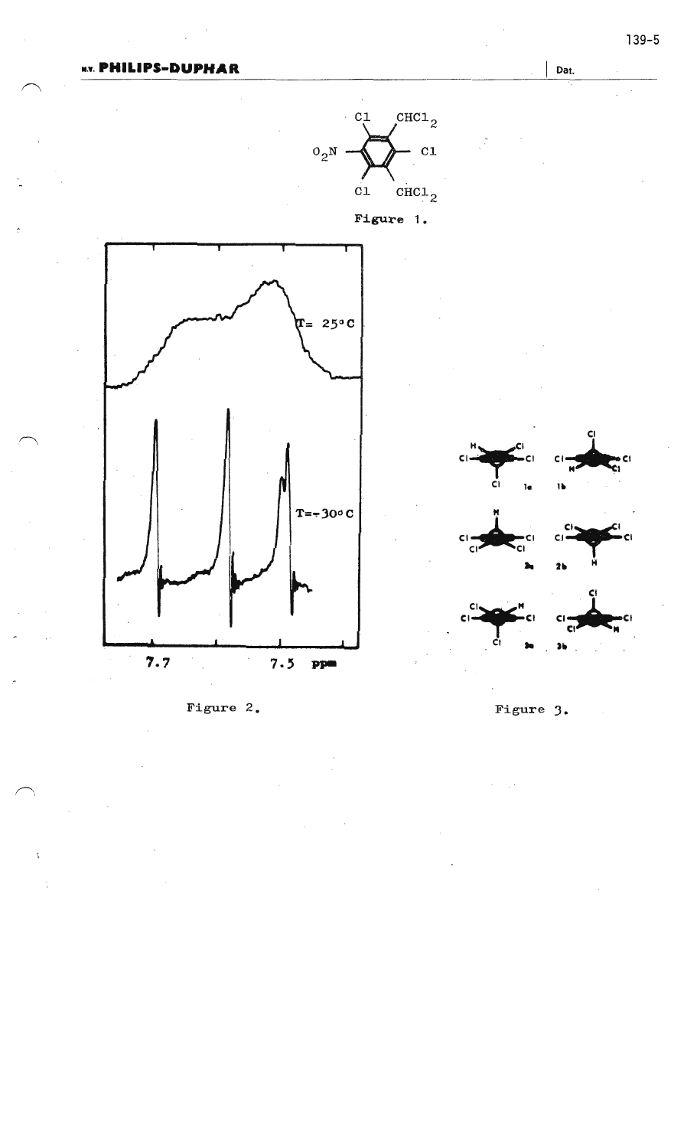

Figure 1.









Dat.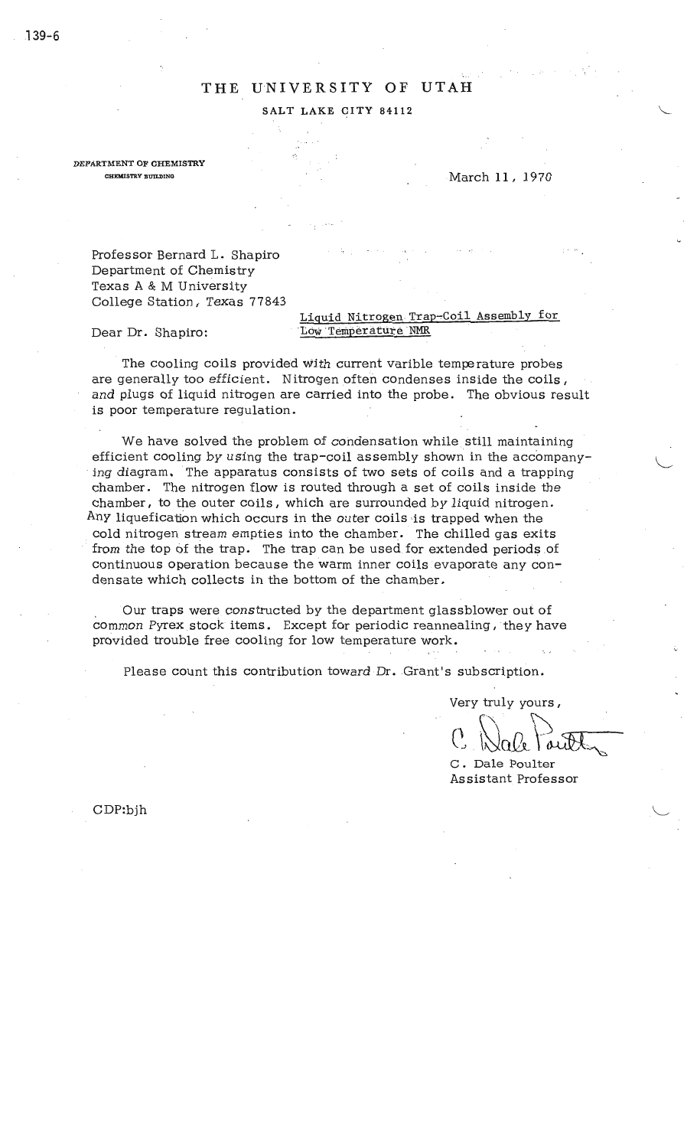## **THE UNIVERSITY OF UTAH**

**SALT LAKE CITY 84112** 

**DEPARTMENT OF CHEMISTRY CHl!JIISTRY BUJLDINO** 

March 11, 1970

Professor Bernard L. Shapiro Department of Chemistry Texas A & M University College Station, Texas 77843

Dear Dr. Shapiro:

Liquid Nitrogen Trap~Coil Assembly for Low Temperature NMR

The cooling coils provided with current varible temperature probes are generally too efficient. Nitrogen often condenses inside the coils, and plugs of liquid nitrogen are carried into the probe. The obvious result is poor temperature regulation.

We have solved the problem of condensation while still maintaining efficient cooling by using the trap-coil assembly shown in the accompany- . ing diagram. The apparatus consists of two sets of coils and a trapping chamber. The nitrogen flow is routed through a set of coils inside the chamber, to the outer coils, which are surrounded by liquid nitrogen. Any liquefication which occurs in the outer coils is trapped when the . cold nitrogen stream empties into the chamber. The chilled gas exits from the top of the trap. The trap can be used for extended periods of continuous operation because the warm inner coils evaporate any condensate which collects in the bottom of the chamber.

. Our traps were constructed by the department glassblower out of . common Pyrex stock items. Except for periodic reannealing, they have provided trouble free cooling for low temperature work.

Please count this contribution toward Dr. Grant's subscription.

Very truly yours,

 $\left(\begin{array}{c} 1 \ 0 \end{array}\right)$  $\mathcal{R}$ Poultr

L

 $\setminus$ 

C. Dale Poulter Assistant. Professor

CDP:bjh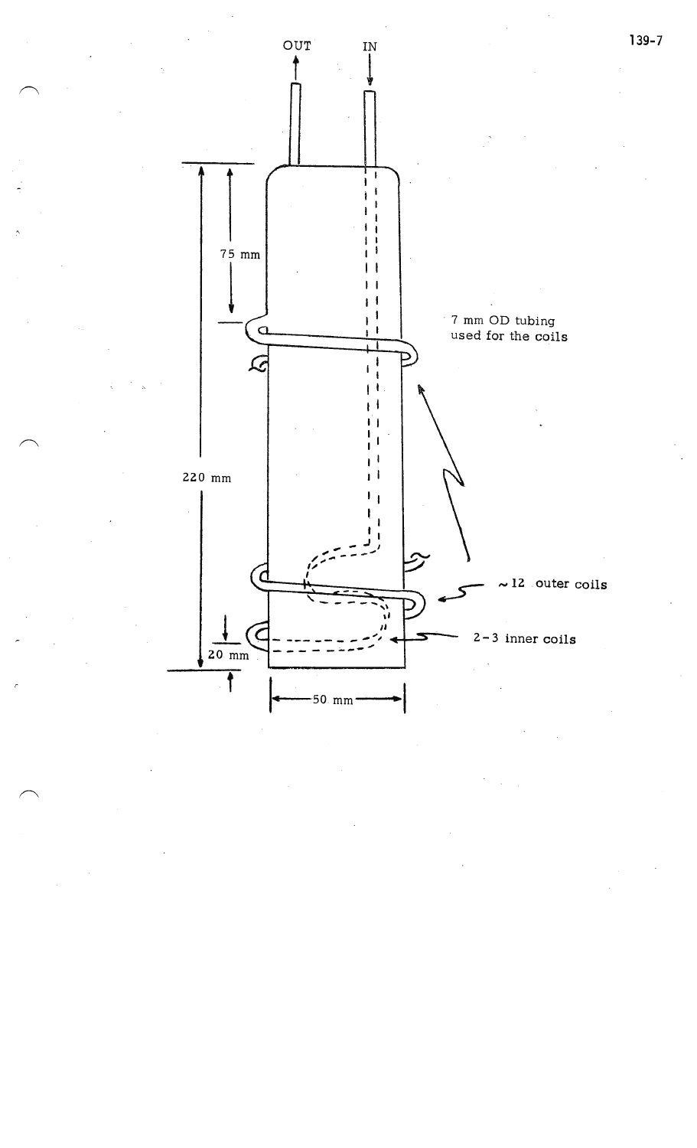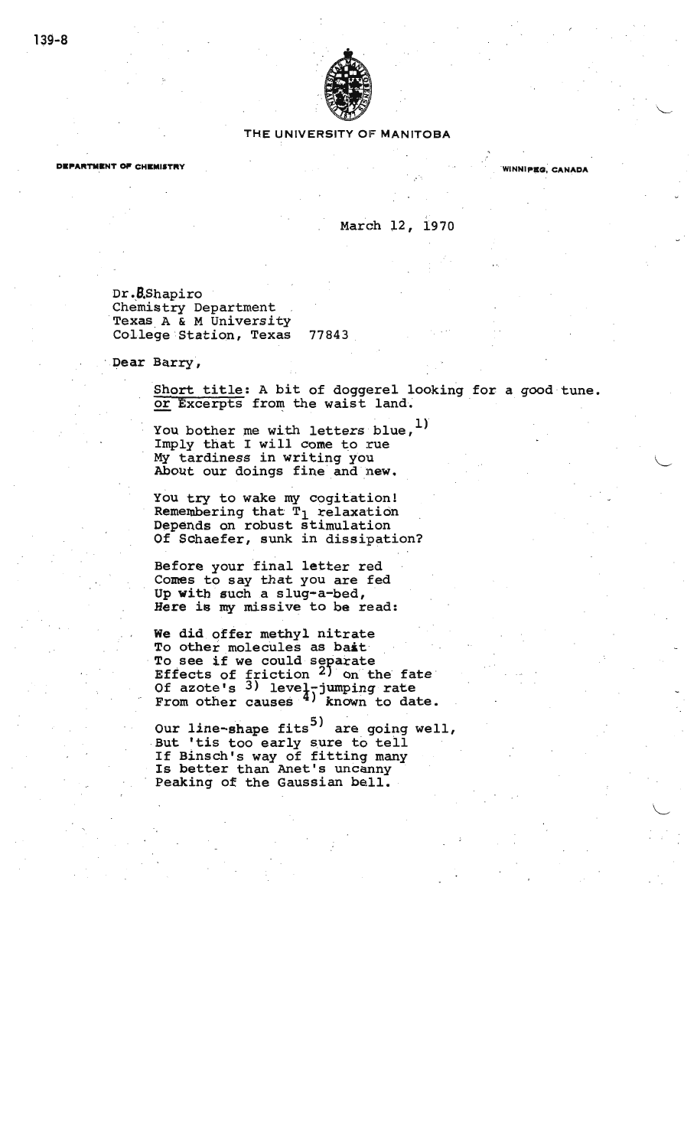

THE UNIVERSITY OF MANITOBA

**DE THENT OF CHEMISTI** 

WINNIPEG, CANADA

L

March l2, 1970

<sup>~</sup>·.

Dr.*B*.Shapiro Chemistry Department Texas A & M University College Station, Texas 77843

· Dear Barry ,

Short title: A bit of doggerel looking for a good tune.<br> $or$  Excerpts from the waist land.

You bother me with letters blue,  $^{1)}$ Imply that I will come to rue My tardiness in writing you About our doings fine and new.

You try to wake my cogitation! Remembering that  $T_1$  relaxation Depends on robust stimulation Of Schaefer, sunk in dissipation?

Before your final letter red Comes to say that you are fed<br>Up with such a slug-a-bed, Here is my missive to be read:

We did offer methyl nitrate<br>To other molecules as bait To other molecules as bait<br>To see if we could separate<br>Effects of friction <sup>2</sup>) on the fate Of azote's  $3)$  level-jumping rate From other causes  $4$ ) known to date.

Our line-shape fits<sup>5)</sup> are going well,<br>But 'tis too early sure to tell If Binsch's way of fitting many Is better than Anet's uncanny Peaking of the Gaussian bell.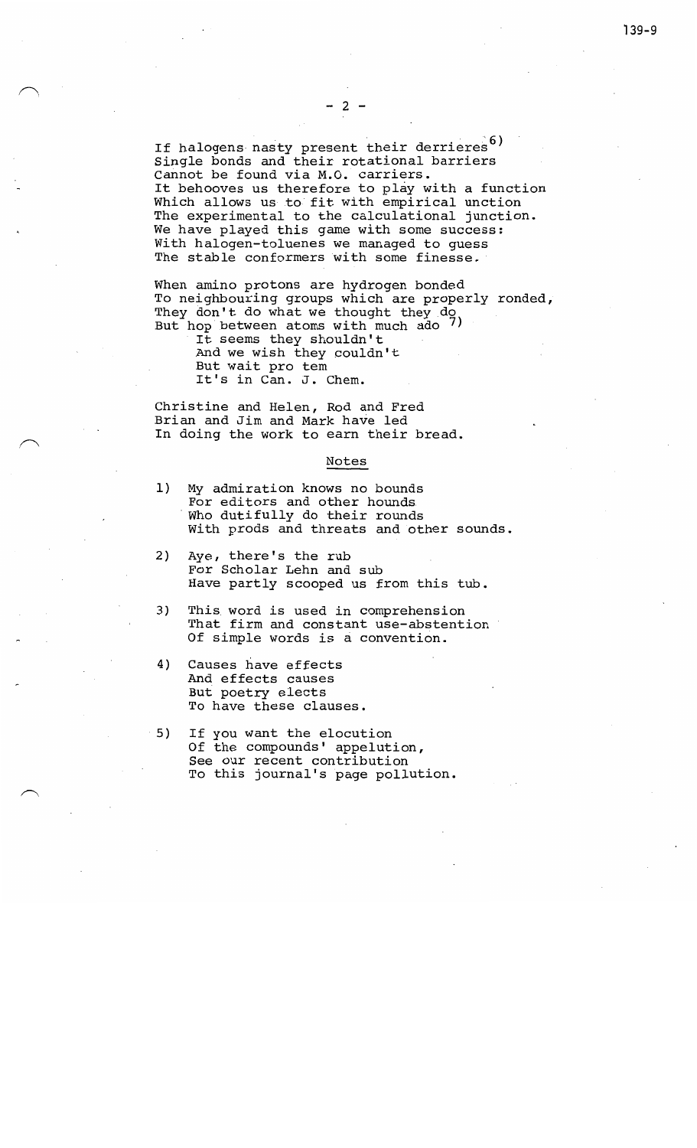$2 -$ 

If halogens nasty present their derrieres  $6$  ) Single bonds and their rotational barriers Cannot be found via M.O. carriers. It behooves us therefore to play with a function Which allows us to fit with empirical unction The experimental to the calculational junction. We have played this game with some success: With halogen-toluenes we managed to quess The stable conformers with some finesse.

When amino protons are hydrogen bonded To neighbouring groups which are properly ronded, They don't do what we thought they do But hop between atoms with much ado 7)

> It seems they shouldn't And we wish they couldn't But wait pro tem It's in Can. J. Chem.

Christine and Helen, Rod and Fred Brian and Jim and Mark have led In doing the work to earn their bread.

#### Notes

- 1) My admiration knows no bounds For editors and other hounds Who dutifully do their rounds With prods and threats and other sounds.
- 2) Aye, there's the rub For Scholar Lehn and sub Have partly scooped us from this tub.
- 3) This word is used in comprehension That firm and constant use-abstention Of simple words is a convention.
- 4) Causes have effects And effects causes But poetry elects To have these clauses.
- 5) If you want the elocution Of the compounds' appelution, See our recent contribution To this journal's page pollution.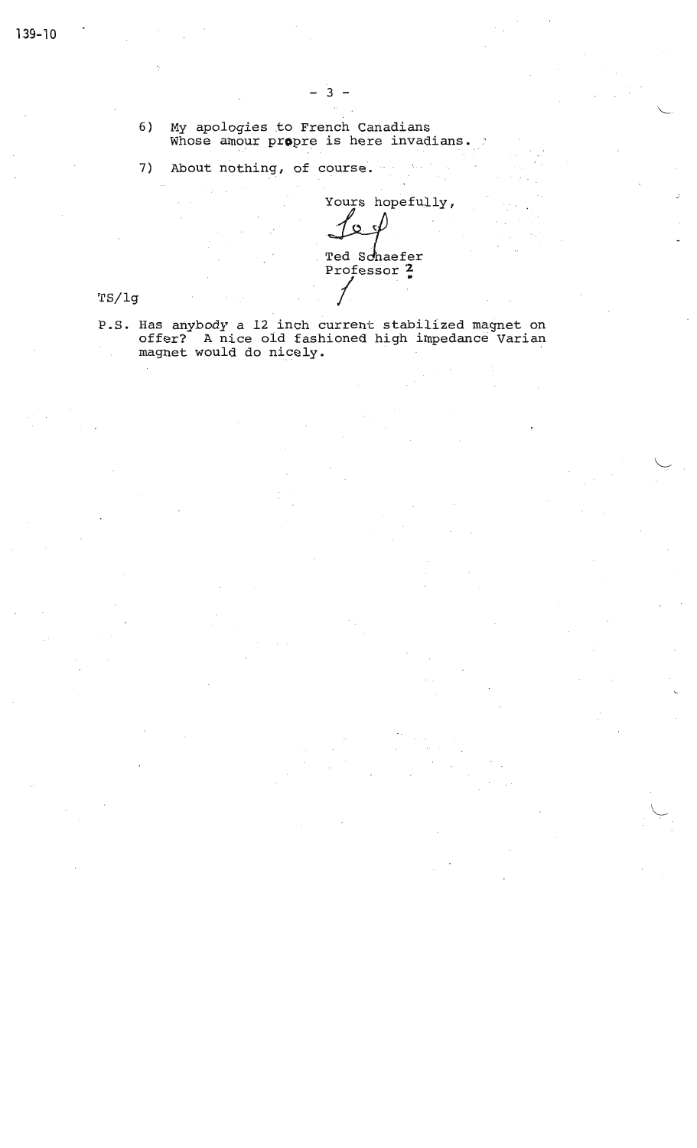6) My apologies to French Canadians Whose amour propre is here invadians.

२

7) About nothing, of course.

Yours hopefully, Ted Schaefer Professor<sup>2</sup>

TS/lg

P.S. Has anybody a 12 inch current stabilized magnet on offer? A nice old fashioned high impedance Varian magnet would do nicely.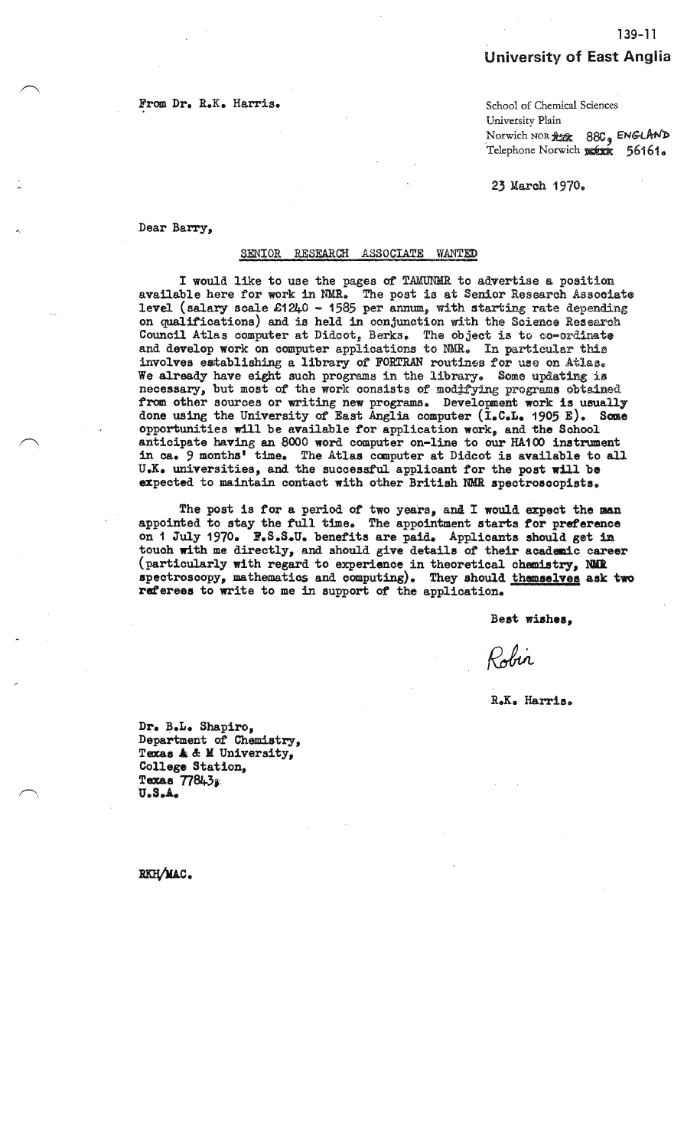## University of East Anglia

## From Dr. R.K. Harris.

School of Chemical Sciences University Plain Norwich NOR \$50 880, ENGLAND<br>Telephone Norwich **wexx** 56161.

23 March 1970.,

#### Dear Barry,

#### SENIOR RESEARCH ASSOCIATE WANTED

I would like to use the pages of TAMUNMR to advertise a position available here for work in NMR. The post is at Senior Research Associate level (salary scale £1240 - 1585 per annum, with starting rate depending on qualifications) and is held in conjunction with the Science Research Council Atlas computer at Didcot, Berks. The object ia to co-ordinate and develop work on computer applications to  $NMR_s$ . In particular this involves establishing a library of FORTRAN routines for use on Atlas. We already have eight such programs in the library. Some updating is necessary, but most of the work consists of modifying programs obtained from other sources or writing new programs. Development work is usually done using the University of East Anglia computer  $(L_{\bullet}C_{\bullet}L_{\bullet}$  1905 E). Some opportunities will be available for application work, and the School anticipate having an 8000 word computer on-line to our HA100 instrument in ca. 9 months' time. The Atlas computer at Didcot is available to all U.K. universities, and the successful applicant for the post will be expected to maintain contact with other British NMR spectroscopists.

The post is for a period of two years, and I would expect the man appointed to stay the full time. The appointment starts **for pref'erence**  on 1 July 1970. F.S.S.U. benefits are paid. Applicants should get in touoh with me directly, and should give details *ot* their **academic** career (particularly with regard to experienoe in theoretical chemistry, **NO.**  spectroscopy, mathematics and computing). They should **themselves ask two ref'ereea** to write to me in support of the application.

Best wishes,

Robin

R.K. Harris.

Dr. B.L. Shapiro, Department of Chemistry, **Texas & & M University,** College Station, Texas 7784-3»: U.S.A.

RKH/MAC.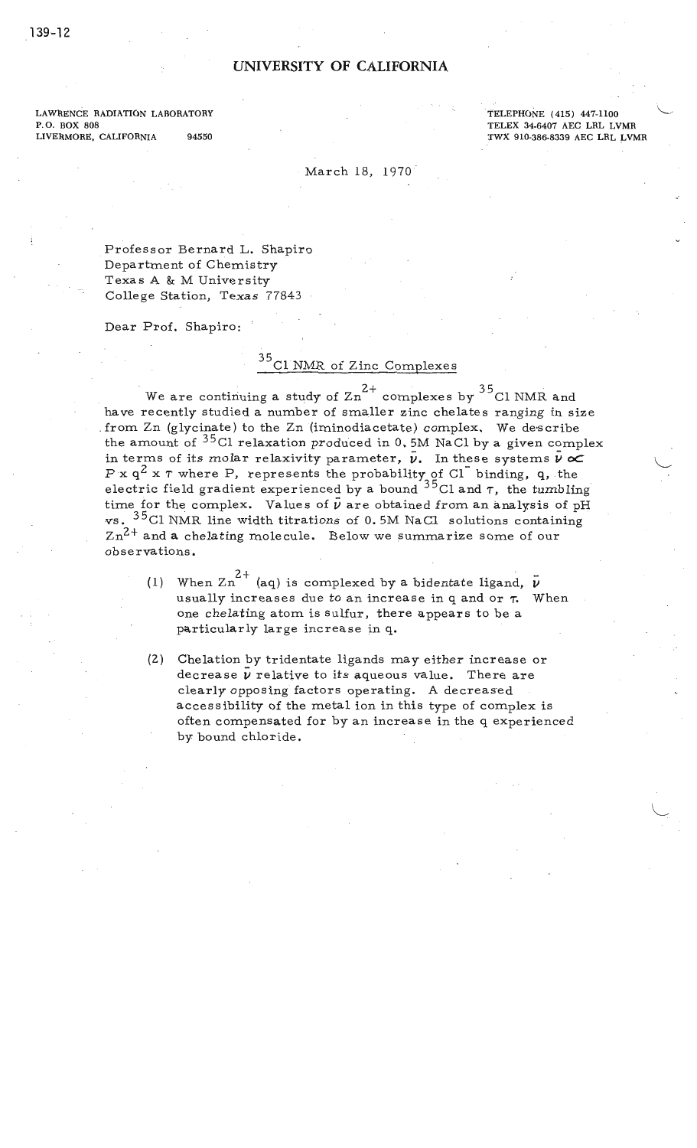## **UNIVERSITY OF CALIFORNIA**

LAWRENCE RADIATION LABORATORY P.O. BOX 808<br>LIVERMORE, CALIFORNIA

TELEPHONE. (415) 447-1100 TELEX 34-6407 AEC LRL LVMR LIVERMORE, CALIFORNIA 94550 **TWX** 910-386-8339 AEC LRL **LVMR** 

L

March 18, 1970

Professor Bernard L. Shapiro Department of Chemistry Texas A & M University College Station, Texas 77843

Dear Prof. Shapiro:

## <sup>35</sup>Cl NMR of Zinc Complexes

We are continuing a study of  $\text{Zn}^{2+}$  complexes by  $^{35}$ Cl NMR and have recently studied a number of smaller zinc chelates ranging in size from Zn (glycinate) to the Zn (iminodiacetate) complex. We describe the amount of  $35C1$  relaxation produced in 0.5M NaCl by a given complex in terms of its molar relaxivity parameter,  $\bar{\nu}$ . In these systems  $\bar{\nu} \propto$ P x  $q^2$  x  $\tau$  where P, represents the probability of Cl<sup>-</sup> binding, q, the electric field gradient experienced by a bound <sup>35</sup>Cl and  $\tau$ , the tumbling time for the complex. Values of  $\bar{\nu}$  are obtained from an analysis of pH  $vs.$  <sup>35</sup>Cl NMR line width titrations of 0.5M NaCl solutions containing  $\text{Zn}^{2+}$  and a chelating molecule. Below we summarize some of our observations.

- (1) When  $\text{Zn}^{2+}$  (aq) is complexed by a bidentate ligand,  $\bar{\nu}$ usually increases due to an increase in q and or  $\tau$ . When one chelating atom is sulfur, there appears to be a particularly large increase in q. ·
- (2) Chelation by tridentate ligands may either increase or decrease  $\bar{\nu}$  relative to its aqueous value. There are clearly opposing factors operating. A decreased accessibility of the metal ion in this type of complex is often compensated for by an increase in the q experienced by bound chloride.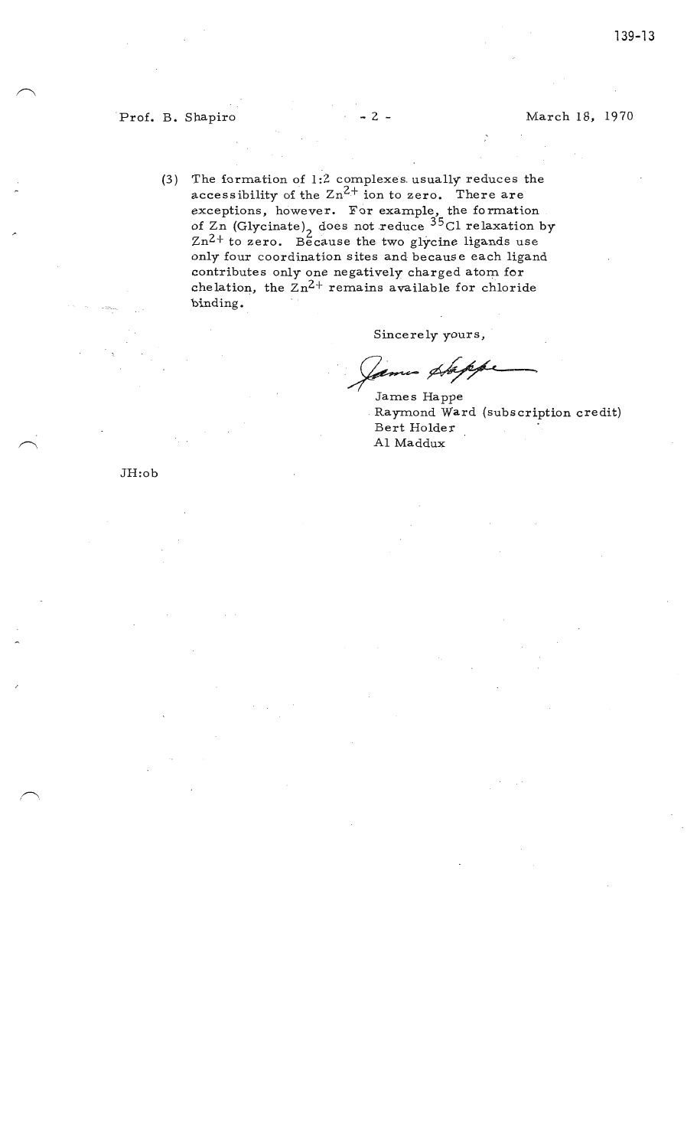## Prof. B. Shapiro - 2 - March 18, 1970

r-

(3) The formation of 1:2 complexes usually reduces the accessibility of the  $Zn^{2+}$  ion to zero. There are exceptions, however. For example, the formation of Zn (Glycinate)<sub>2</sub> does not reduce <sup>35</sup> Cl relaxation by  $\text{Zn}^{2+}$  to zero. Because the two glycine ligands use only four coordination sites and because each ligand contributes only one negatively charged atom for chelation, the  $Zn^{2+}$  remains available for chloride binding. e the two glycine ligands use<br>sites and because each ligand<br>egatively charged atom for<br>mains available for chloride<br>Sincerely yours,<br>Sincerely yours,<br>James Happe<br>Raymond Ward (subscription cree<br>Bert Holder

Sincerely yours,

James Happe Raymond Ward (subscription credit) Bert Holder Al Maddux

JH:ob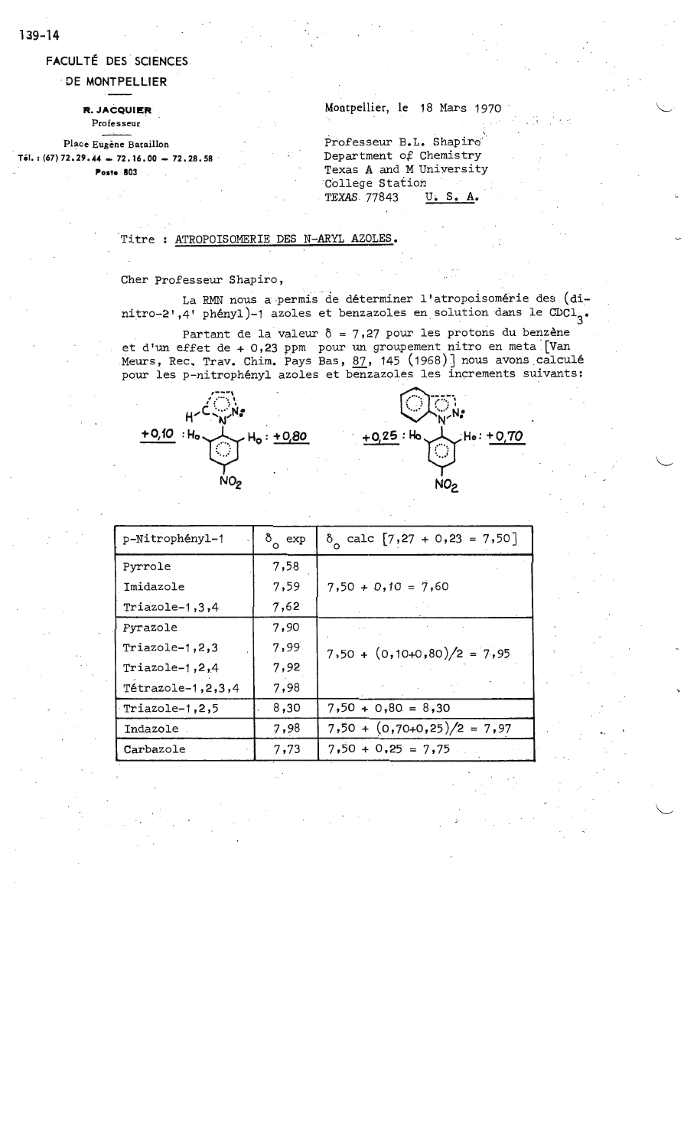## FACULTÉ DES SCIENCES

## DE MONTPELLIER

**R. JACQUIER** Professeur

Place Eugène Bataillon Tél.: (67) 72.29.44 - 72.16.00 - 72.28.58 Poste 803

Montpellier, le 18 Mars 1970

Professeur B.L. Shapiro Department of Chemistry Texas A and M University College Station **TEXAS 77843** U.S.A.

Titre : ATROPOISOMERIE DES N-ARYL AZOLES

Cher Professeur Shapiro,

La RMN nous a permis de déterminer l'atropoisomérie des (dinitro-2',4' phényl)-1 azoles et benzazoles en solution dans le CDCl<sub>3</sub>.

Partant de la valeur  $\delta = 7,27$  pour les protons du benzène et d'un effet de + 0,23 ppm pour un groupement nitro en meta [Van Meurs, Rec. Trav. Chim. Pays Bas, 87, 145 (1968)] nous avons calculé pour les p-nitrophényl azoles et benzazoles les increments suivants:



| p-Nitrophényl-1      | $\delta$ exp | $\delta$ calc $[7,27 + 0,23 = 7,50]$ |
|----------------------|--------------|--------------------------------------|
| Pyrrole              | 7,58         |                                      |
| Imidazole            | 7,59         | $7,50 + 0,10 = 7,60$                 |
| Triazole-1,3,4       | 7,62         |                                      |
| Pyrazole             | 7,90         |                                      |
| Triazole-1,2,3       | 7,99         | $7,50 + (0,10+0,80)/2 = 7,95$        |
| Triazole-1,2,4       | 7,92         |                                      |
| Tétrazole-1, $2,3,4$ | 7,98         |                                      |
| Triazole-1,2,5       | 8,30         | $7,50 + 0,80 = 8,30$                 |
| Indazole.            | 7,98         | $7,50 + (0,70+0,25)/2 = 7,97$        |
| Carbazole            | 7,73         | $7,50 + 0,25 = 7,75$                 |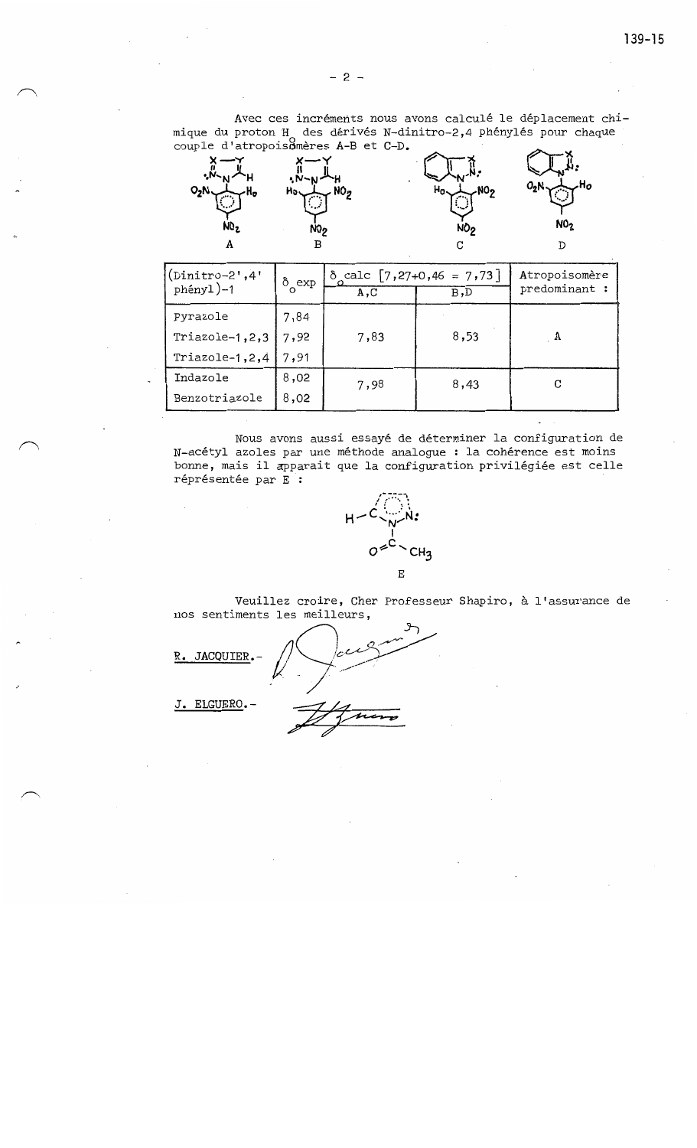$139 - 15$ 

Avec ces incréments nous avons calculé le déplacement chimique du proton H des dérivés N-dinitro-2,4 phénylés pour chaque<br>couple d'atropoisomères A-B et C-D.



| $(Dinitro-2', 4'$       | $\delta$ exp | $\delta$ <sub>calc</sub> [7,27+0,46 = 7,73] | Atropoisomère |               |
|-------------------------|--------------|---------------------------------------------|---------------|---------------|
| phényl)-1               | O            | A, C                                        | B,D           | predominant : |
| Pyrazole                | 7,84         |                                             |               |               |
| Triazole-1,2,3          | 7,92         | 7,83                                        | 8,53          | A             |
| Triazole-1,2,4   $7,91$ |              |                                             |               |               |
| Indazole                | 8,02         | 7,98                                        | 8,43          | C             |
| Benzotriazole           | 8,02         |                                             |               |               |

Nous avons aussi essayé de déterminer la configuration de N-acétyl azoles par une méthode analogue : la cohérence est moins bonne, mais il apparait que la configuration privilégiée est celle réprésentée par E :



Veuillez croire, Cher Professeur Shapiro, à l'assurance de nos sentiments les meilleurs,

| R. JACQUIER.- |  |
|---------------|--|
| . ELGUERO.-   |  |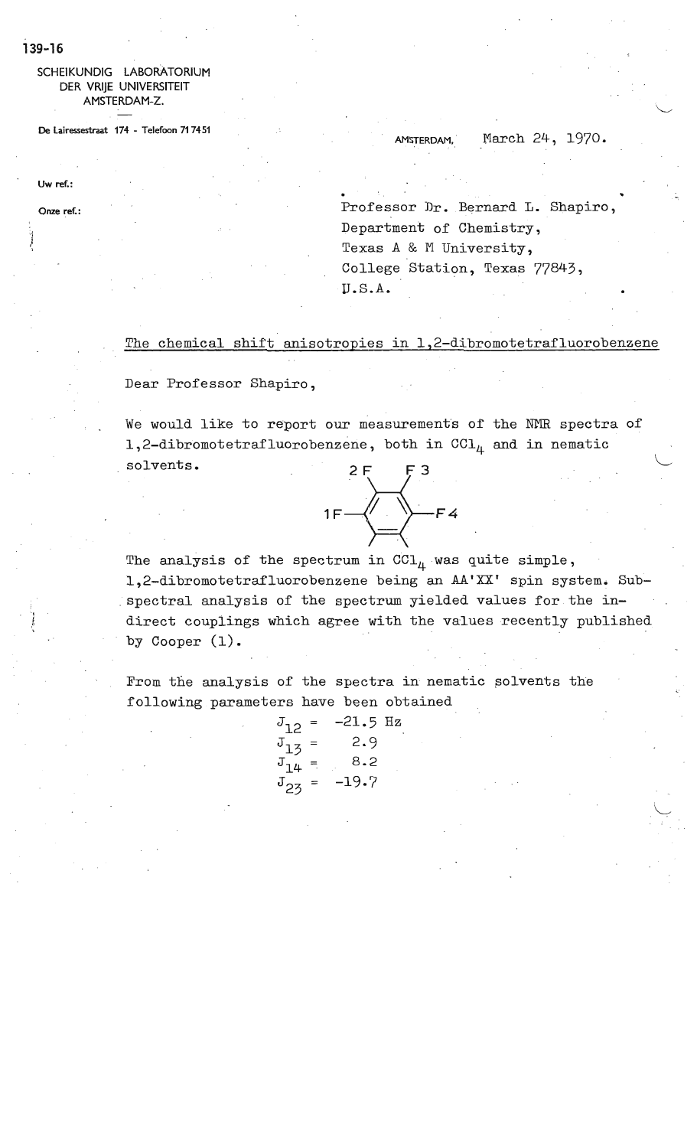**139-16** 

## **SCHEIKUNDIG LABORATORIUM DER VRIJE UNIVERSITEIT AMSTERDAM-Z.**

**De Lairessestraat 174** - **Telefoon 71 7451** 

## AMSTERDAM, March 24, 1970.

. -,

L

**Uw ref.:** 

**Onze ref.:** 

Professor Dr. Bernard L. Shapiro, Department of Chemistry, Texas A & M University, College Station, Texas 77843, U.S.A.

## The chemical shift anisotropies in  $1,2$ -dibromotetrafluorobenzene

Dear Professor Shapiro,

We would like to report our measurements of the NMR spectra of 1,2-dibromotetrafluorobenzene, both in  $\texttt{CCL}_{\textit{h}}$  and in nematic solvents.



The analysis of the spectrum in  $\texttt{CC1}_{\mu}$  was quite simple, 1,2-dibromotetrafluorobenzene being an AA'XX' spin system. Suh spectral analysis of the spectrum yielded values for the indirect couplings which agree with the values recently published by Cooper (1).

From the analysis of the spectra in nematic solvents the following parameters have been obtained

| $J_{12}$ = | -21.5 Hz |  |
|------------|----------|--|
| $J_{13}$ = | 2.9      |  |
| $J_{14}$ = | 8.2      |  |
| $J_{23}$ = | $-19.7$  |  |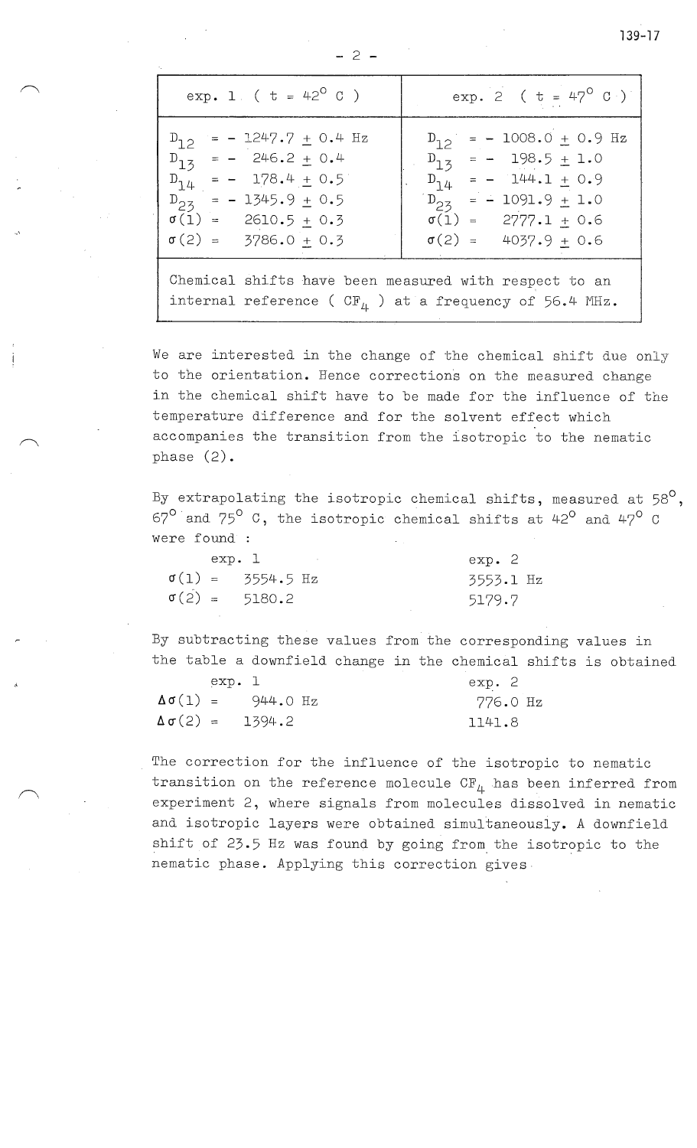- 2 -

| $exp. 1. (t = 42^{\circ} C)$                                                                                                                                                   | exp. 2 ( $t = 47^{\circ}$ C )                                                                                                                                                     |
|--------------------------------------------------------------------------------------------------------------------------------------------------------------------------------|-----------------------------------------------------------------------------------------------------------------------------------------------------------------------------------|
| $D_{12}$ = - 1247.7 + 0.4 Hz<br>$D_{13}$ = - 246.2 + 0.4<br>$D_{14}$ = - 178.4 + 0.5<br>$D_{23}$ = -1345.9 ± 0.5<br>$\sigma(1) = 2610.5 \pm 0.3$<br>$\sigma(2) = 3786.0 + 0.3$ | $D_{12}$ = -1008.0 + 0.9 Hz<br>$D_{13} = -198.5 \pm 1.0$<br>$D_{14} = -144.1 \pm 0.9$<br>$D_{23} = -1091.9 \pm 1.0$<br>$\sigma(1) = 2777.1 + 0.6$<br>$\sigma(2) = 4037.9 \pm 0.6$ |
| Chemical shifts have been measured with respect to an<br>internal reference ( $CF_{\mu}$ ) at a frequency of 56.4 MHz.                                                         |                                                                                                                                                                                   |

We are interested in the change of the chemical shift due only to the orientation. Hence corrections on the measured change in the chemical shift have to be made for the influence of the temperature difference and for the solvent effect which accompanies the transition from the isotropic to the nematic phase (2).

By extrapolating the isotropic chemical shifts, measured at  $58^{\circ}$ ,  $67^\circ$  and  $75^\circ$  C, the isotropic chemical shifts at 42<sup>o</sup> and 47<sup>o</sup> C were found :

| exp. 1 |                         | exp. 2    |  |
|--------|-------------------------|-----------|--|
|        | $\sigma(1) = 3554.5$ Hz | 3553.1 Hz |  |
|        | $\sigma(2) = 5180.2$    | 5179.7    |  |

By subtracting these values from the corresponding values in the table a downfield change in the chemical shifts is obtained

| exp. l |                               | exp. 2   |  |
|--------|-------------------------------|----------|--|
|        | $\Delta \sigma(1)$ = 944.0 Hz | 776.0 Hz |  |
|        | $\Delta \sigma(2) = 1394.2$   | 1141.8   |  |

The correction for the influence of the isotropic to nematic transition on the reference molecule  $CF_{\mu}$  has been inferred from experiment 2, where signals from molecules dissolved in nematic and isotropic layers were obtained simultaneously. A downfield shift of 23.5 Hz was found by going from\_ the isotropic to the nematic phase. Applying this correction gives .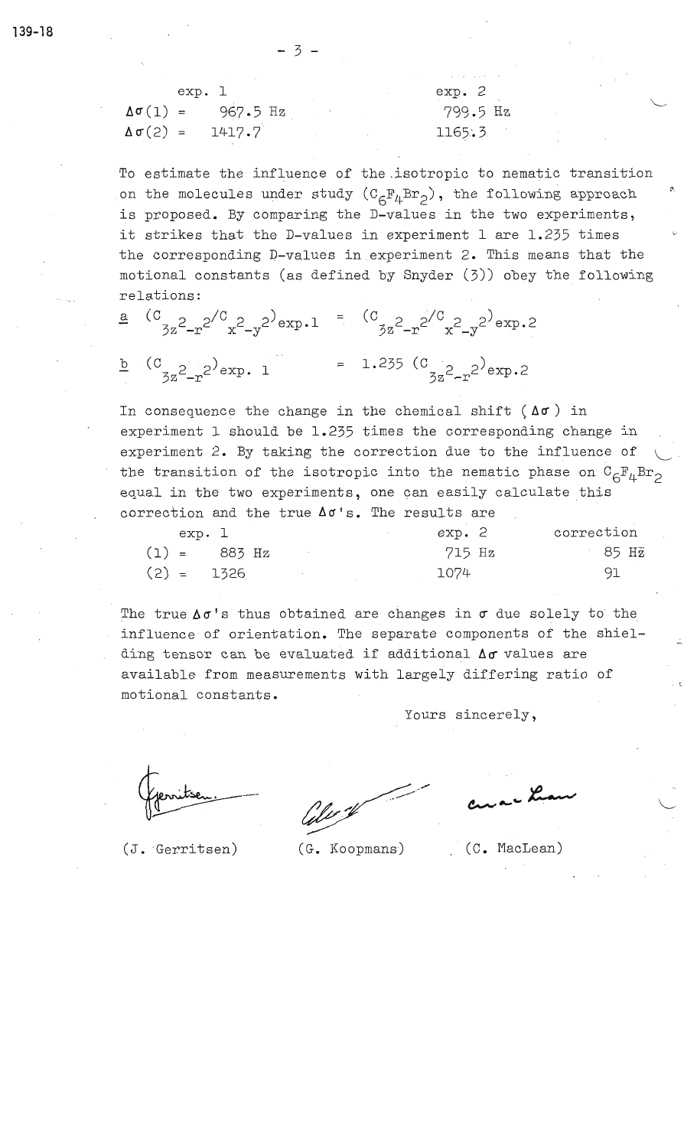|--|--|--|--|

|                     | exp. 1 |          |  |  | exp. 2   |  |
|---------------------|--------|----------|--|--|----------|--|
| $\Delta\sigma(1)$ = |        | 967.5 Hz |  |  | 799.5 Hz |  |
| Δσ(2) =             |        | 1417.7   |  |  | 1165.3   |  |

To estimate the influence of the .isotropic to nematic transition on the molecules under study  $(C_6F_4Br_2)$ , the following approach is proposed. By comparing the D-values in the two experiments, it strikes that the D-values in experiment **1** are 1.235 times the corresponding D-values in experiment 2. This means that the motional constants (as defined by Snyder (3)) obey the following relations:

 $(\sigma_{3z}^2 - r^2)^{C} x^2 - y^2 \exp 1 = (\sigma_{3z}^2 - r^2)^{C} x^2 - y^2 \exp 1$ 

 $\frac{b}{3z^2-r^2}$ exp. 1 = 1.235 (C<sub>32</sub><sup>2</sup>- $r^2$ )exp.2

In consequence the change in the chemical shift  $(\Delta \sigma)$  in experiment **1** should be 1.235 times the corresponding change in experiment 2. By taking the correction due to the influence of the transition of the isotropic into the nematic phase on  $C_6F_4Br_2$ equal in the two experiments, one can easily calculate this correction and the true  $\Delta \sigma$ 's. The results are

| exp. l |                |  | exp. 2 | correction |
|--------|----------------|--|--------|------------|
|        | $(1) = 883$ Hz |  | 715 Hz | 85 Hž      |
|        | $(2) = 1326$   |  | 1074   | 91         |

The true  $\Delta \sigma$ 's thus obtained are changes in  $\sigma$  due solely to the influence of orientation. The separate components of the shielding tensor can be evaluated if additional  $\Delta \sigma$  values are available from measurements with largely differing ratio of motional constants.

Yours sincerely,

(J. Gerritsen) (G. Koopmans) (C. MacLean)

*~//* 

<u>v</u>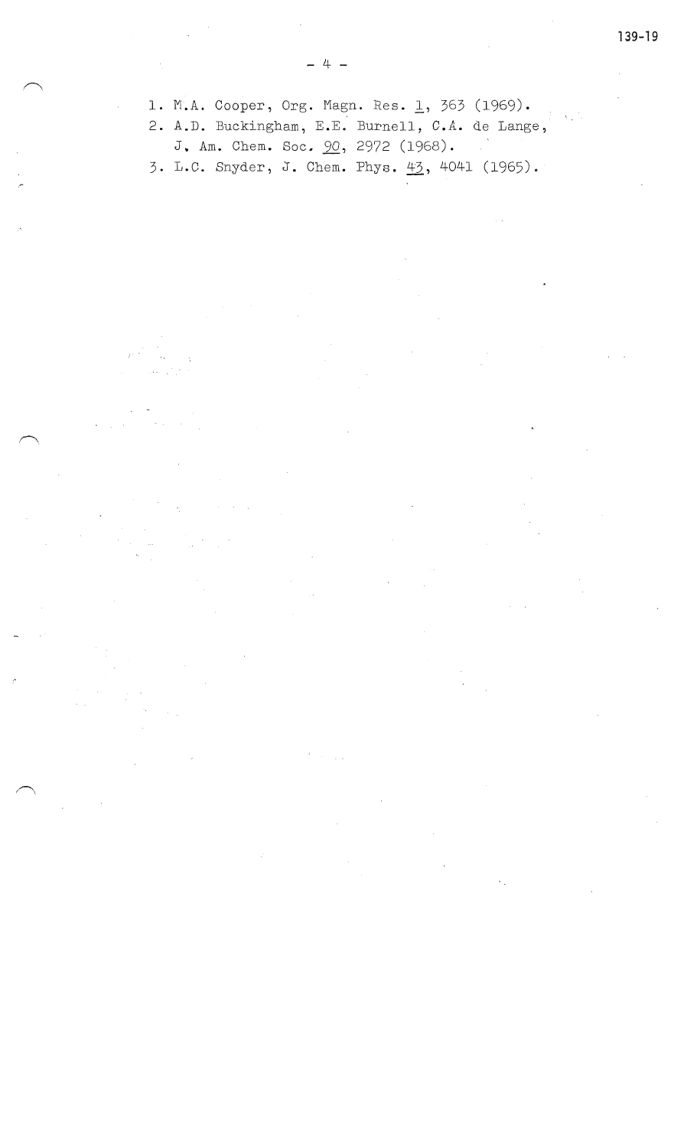1. M.A. Cooper, Org. Magn. Res. 1, 363 (1969).

2. A.D. Buckingham, E.E. Burnell, C.A. de Lange,

J. Am. Chem. Soc. 90, 2972 (1968).

3. L.C. Snyder, J. Chem. Phys. 43, 4041 (1965).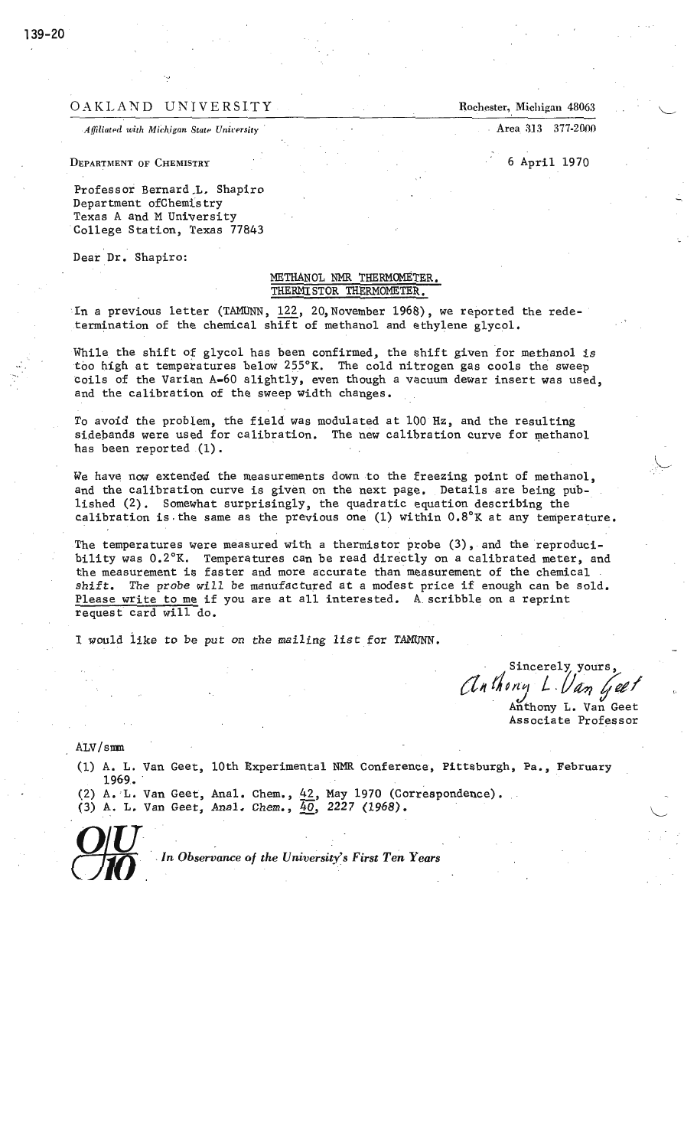## OAKLAND UNIVERSITY

*AlfiliatPd with Michigan StatP Unit-Prsity* .

Rochester, Michigan 48063

Area 313 377-2000

6 April 1970

DEPARTMENT OF CHEMISTRY

Professor Bernard \_L, Shapiro Department ofChemistry Texas A and M University College Station, Texas 77843

Dear Dr. Shapiro:

## METHANOL NMR THERMOMETER. THERMISTOR THERMOMETER.

·In a previous letter (TAMUNN, 122, 20,November 1968), we reported the redetermination of the chemical shift of methanol and ethylene glycol.

While the shift of glycol has been confirmed, the shift given for methanol is too high at temperatures below 255°K. The cold nitrogen gas cools the sweep coils of the Varian A-60 slightly, even though a vacuum dewar insert was used, and the calibration of the sweep width changes.

To avoid the problem, the field was modulated at 100 Hz, and the resulting sidebands were used for calibration. The new calibration curve for methanol has been reported (1).

We have now extended the measurements down to the freezing point of methanol, and the calibration curve is given on the next page. Details are being published (2). Somewhat surprisingly, the quadratic equation describing the calibration is the same as the previous one (1) within  $0.8^\circ$ K at any temperature.

The temperatures were measured with a thermistor probe (3), and the reproducibility was 0.2°K. Temperatures can be read directly on a calibrated meter, and the measurement is faster and more accurate than measurement of the chemical shift. The probe will be manufactured at a modest price if enough can be sold. Please write to me if you are at all interested. A. scribble on a reprint request card will do.

I would like to be put on the mailing list for TAMUNN.

Sincerely yours *(In thony L Van !)* 

Anthony L. Van Geet Associate Professor

L

ALV /srrm

- (1) A. L. Van Geet, 10th Experimental NMR Conference, Pittsburgh, Pa., February 1969.
- (2) A. L. Van Geet, Anal. Chem.,  $42$ , May 1970 (Correspondence).
- (3) A. L. Van Geet, Anal. Chem., 40, 2227 (1968).

In Observance of the University's First Ten Years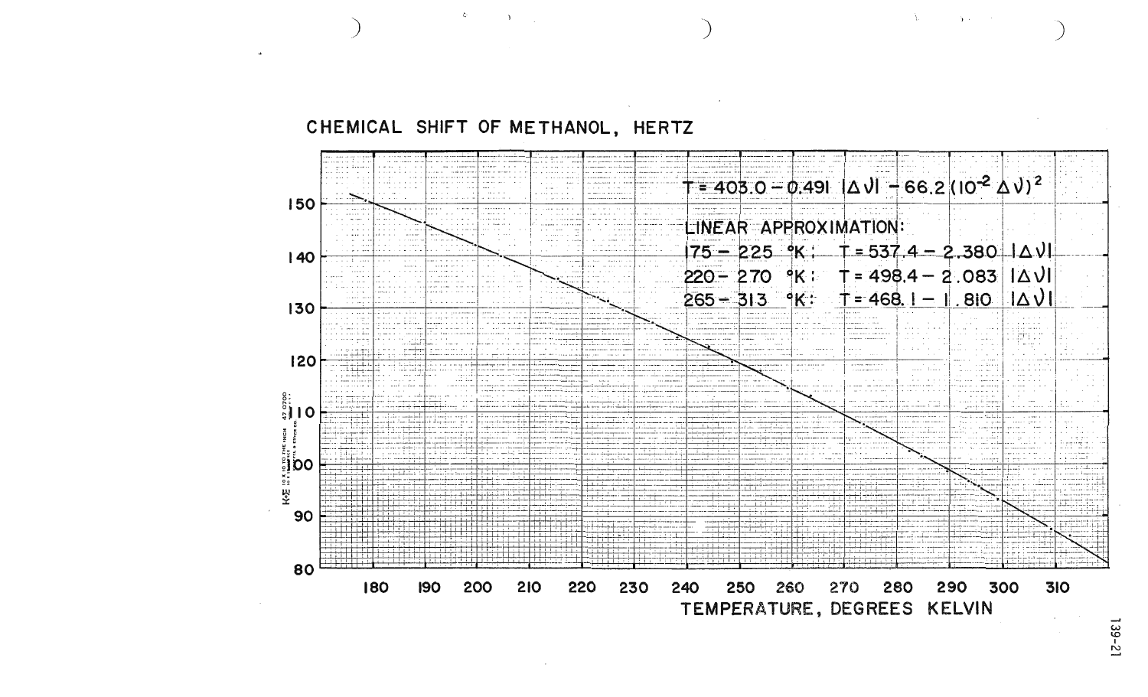## CHEMICAL SHIFT OF METHANOL, HERTZ

Č.



139-21

Silver Store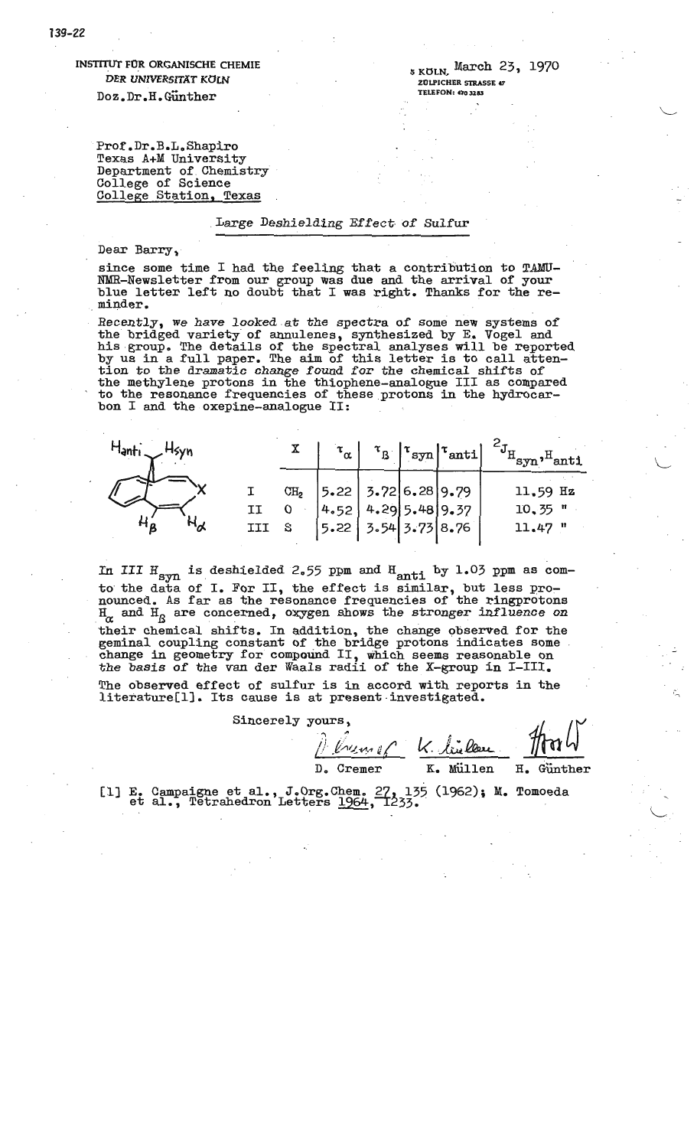## **INSTITUT FÜR ORGANISCHE CHEMIE** DER UNIVERSITÄT KÖLN Doz.Dr.H.Günther

5 KOLN, March 23, 1970 **ZÜLPICHER STRASSE 47 TELEFON: 470 32 83** 

Prof.Dr.B.L.Shapiro Texas A+M University Department of Chemistry College of Science College Station, Texas

#### Large Deshielding Effect of Sulfur

Dear Barry,

since some time I had the feeling that a contribution to TAMU-NMR-Newsletter from our group was due and the arrival of your blue letter left no doubt that I was right. Thanks for the reminder.

Recently, we have looked at the spectra of some new systems of the bridged variety of annulenes, synthesized by E. Vogel and his group. The details of the spectral analyses will be reported by us in a full paper. The aim of this letter is to call attention to the dramatic change found for the chemical shifts of the methylene protons in the thiophene-analogue III as compared to the resonance frequencies of these protons in the hydrocarbon I and the oxepine-analogue II:

| $H_{anti}$ $H_{syn}$ |            |                                                                                                |  | $\begin{bmatrix} \tau_{\alpha} & \tau_{\beta} & r_{syn} \end{bmatrix}$ $\tau_{anti}$ $\begin{bmatrix} \epsilon_{J_{\rm H}} & \epsilon_{STn}, \tau_{anti} \end{bmatrix}$ |
|----------------------|------------|------------------------------------------------------------------------------------------------|--|-------------------------------------------------------------------------------------------------------------------------------------------------------------------------|
|                      | $\rm CH_2$ | $\begin{array}{ c c } \n 5.22 & 3.72 & 6.28 & 9.79 \\ 4.52 & 4.29 & 5.48 & 9.37\n \end{array}$ |  | 11.59 Hz<br>$10.35$ "                                                                                                                                                   |
| $H_B$                |            | $5.22$ 3.54 3.73 8.76                                                                          |  | $11.47$ "                                                                                                                                                               |

In III  $H_{sym}$  is deshielded 2.55 ppm and  $H_{anti}$  by 1.03 ppm as comto the data of I. For II, the effect is similar, but less pro-<br>nounced. As far as the resonance frequencies of the ringprotons  $H_{\alpha}$  and  $H_{\beta}$  are concerned, oxygen shows the stronger influence on their chemical shifts. In addition, the change observed for the geminal coupling constant of the bridge protons indicates some<br>change in geometry for compound II, which seems reasonable on<br>the basis of the van der Waals radii of the X-group in I-III.

The observed effect of sulfur is in accord with reports in the literature[1]. Its cause is at present investigated.

Sincerely yours,

Cremer

De Cremer K. livelleur Mr.

H. Gunther

[1] E. Campaigne et al., J.Org.Chem. 27, 135 (1962); M. Tomoeda et al., Tetrahedron Letters  $1964$ , 1233.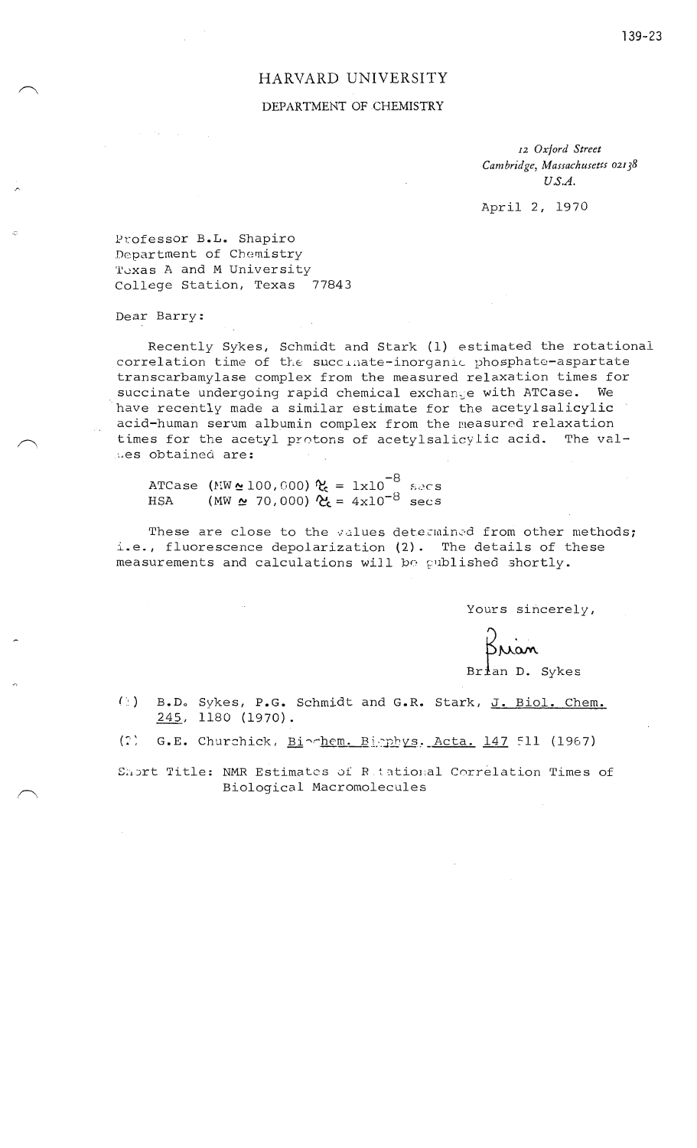## HARVARD UNIVERSITY

## DEPARTMENT OF CHEMISTRY

12 Oxford Street Cambridge, Massachusetts 02138  $U.S.A.$ 

April 2, 1970

Professor B.L. Shapiro Department of Chemistry Texas A and M University College Station, Texas 77843

Dear Barry:

Recently Sykes, Schmidt and Stark (1) estimated the rotational correlation time of the succinate-inorganic phosphate-aspartate transcarbamylase complex from the measured relaxation times for succinate undergoing rapid chemical exchange with ATCase. We have recently made a similar estimate for the acetylsalicylic acid-human serum albumin complex from the measured relaxation times for the acetyl protons of acetylsalicylic acid. The values obtained are:

ATCase (MW  $\simeq$  100,000)  $\chi = 1 \times 10^{-8}$  secs<br>HSA (MW  $\simeq$  70,000)  $\chi = 4 \times 10^{-8}$  secs

These are close to the values determined from other methods; i.e., fluorescence depolarization (2). The details of these measurements and calculations will be published shortly.

Yours sincerely,

Brian D. Sykes

(2) B.D. Sykes, P.G. Schmidt and G.R. Stark, J. Biol. Chem.  $245$ , 1180 (1970).

 $(2)$ G.E. Churchick, Biochem. Biophys. Acta. 147 511 (1967)

Short Title: NMR Estimates of Retational Correlation Times of Biological Macromolecules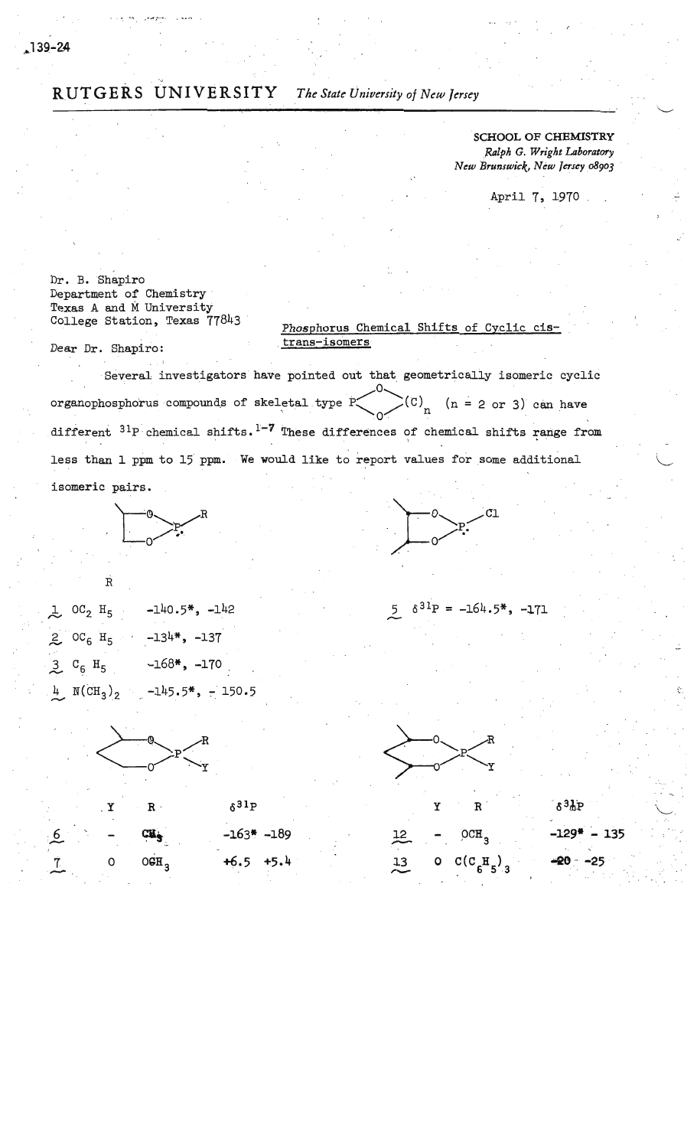**SCHOOL OF CHEMISTRY** Ralph G. Wright Laboratory New Brunswick, New Jersey 08903

April 7, 1970

Dr. B. Shapiro Department of Chemistry Texas A and M University College Station, Texas 77843

Dear Dr. Shapiro:

Phosphorus Chemical Shifts of Cyclic cistrans-isomers

Several investigators have pointed out that geometrically isomeric cyclic organophosphorus compounds of skeletal type  $P$  (c) (n = 2 or 3) can have different <sup>31</sup>P chemical shifts.<sup>1-7</sup> These differences of chemical shifts range from less than 1 ppm to 15 ppm. We would like to report values for some additional isomeric pairs.



 $5 \quad \delta^{31}P = -164.5$ \*, -171

 $\mathbb R$ 

 $\downarrow$  OC<sub>2</sub> H<sub>5</sub> -140.5\*, -142  $2\degree$  OC<sub>6</sub> H<sub>5</sub>  $-13^{14}$ , -137  $\frac{1}{2}$  $C_6$  H<sub>5</sub>  $-168$ \*,  $-170$  $4 NCH_3$ <sub>2</sub>  $-145.5$ \*, - 150.5





 $\delta^{3,1}P$ 135 12Q# 20 -25

 $139 - 24$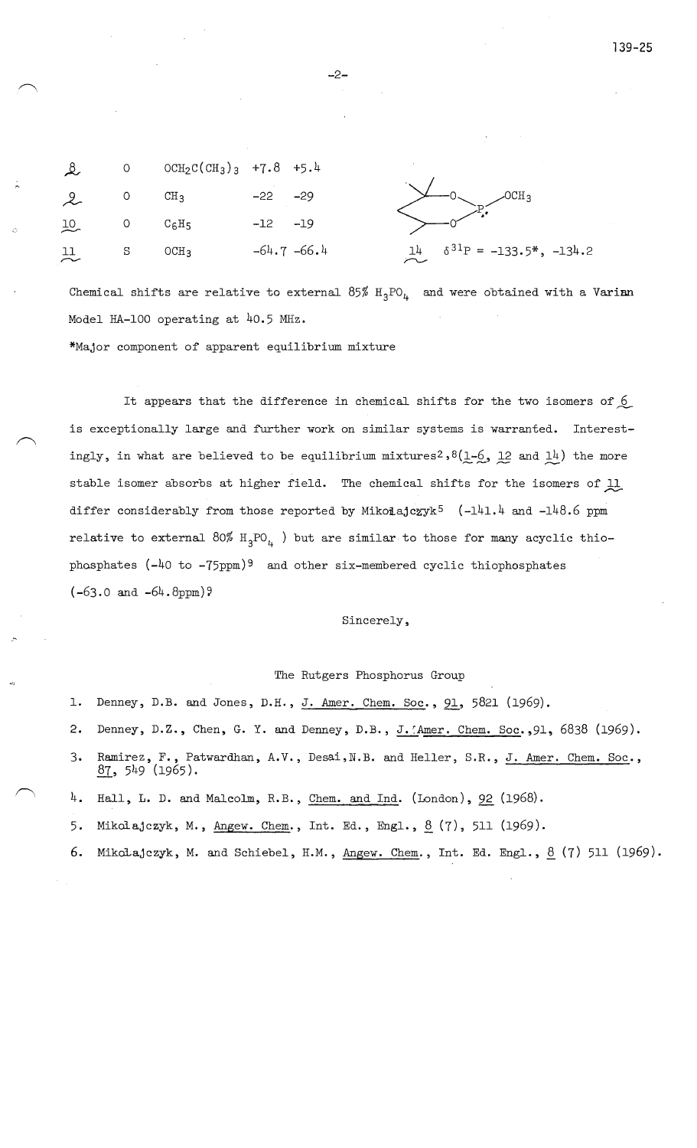-2-



Chemical shifts are relative to external  $85\%$   $H_3PO_4$  and were obtained with a Varian Model HA-100 operating at 40.5 MHz.

\*Major component of apparent equilibrium mixture

It appears that the difference in chemical shifts for the two isomers of  $6$ is exceptionally large and further work on similar systems is warranted. Interestingly, in what are believed to be equilibrium mixtures<sup>2</sup>,  $8(1-6, 12$  and  $14)$  the more stable isomer absorbs at higher field. The chemical shifts for the isomers of 11 differ considerably from those reported by Miko $1a_1c_2y_1k^5$  (-141.4 and -148.6 ppm relative to external  $80\%$   $\rm H_3PO_\mu$  ) but are similar to those for many acyclic thiophosphates  $(-40 \text{ to } -75 \text{ppm})$ <sup>9</sup> and other six-membered cyclic thiophosphates  $(-63.0 \text{ and } -64.8 \text{ppm})$ ?

## Sincerely,

## The Rutgers Phosphorus Group

|  | 1. Denney, D.B. and Jones, D.H., J. Amer. Chem. Soc., 91, 5821 (1969). |  |  |  |  |  |  |  |  |  |  |  |  |
|--|------------------------------------------------------------------------|--|--|--|--|--|--|--|--|--|--|--|--|
|--|------------------------------------------------------------------------|--|--|--|--|--|--|--|--|--|--|--|--|

- 2. Denney, D.Z., Chen, G. Y. and Denney, D.B., J. Amer. Chem. Soc., 91, 6838 (1969).
- 3. Ramirez, F., Patwardhan, A.V., Desai,N.B. and Heller, S.R., J. Amer. Chem. Soc., 87, 549 (1965).

4. Hall, L. D. and Malcolm, R.B., Chem. and Ind. (London), 92 (1968).

- 5. Mikolajczyk, M., Angew. Chem., Int. Ed., Engl.,  $8(7)$ , 511 (1969).
- 6. Mikolajczyk, M. and Schiebel, H.M., Angew. Chem., Int. Ed. Engl.,  $\underline{8}$  (7) 511 (1969).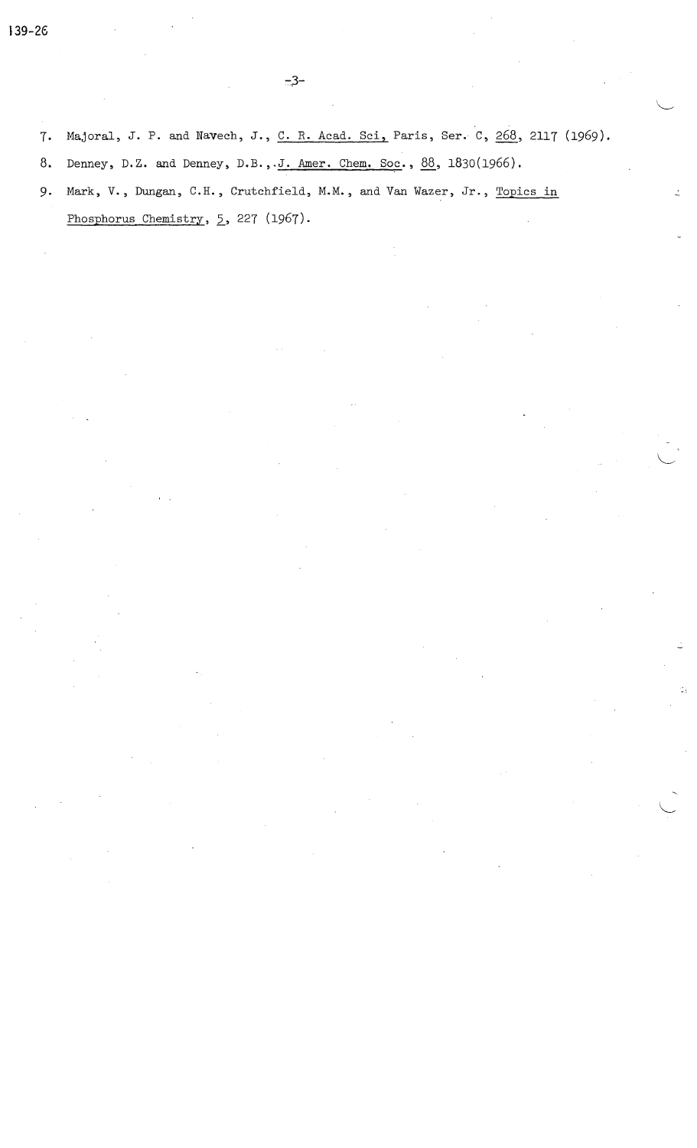- 7. Majoral, *J.P.* and Navech, *J.,* C.R. Acad. Sci, Paris, Ser. C, 268, 2117 (1969).
- 8. Denney, D.Z. and Denney, D.B.,.J. Amer. Chem. Soc., 88, 1830(1966).
- 9. Mark, V., Dungan, C.H., Crutchfield, M.M., and Van Wazer, Jr., Topics in Phosphorus Chemistry, 5, 227 (1967).

 $-3-$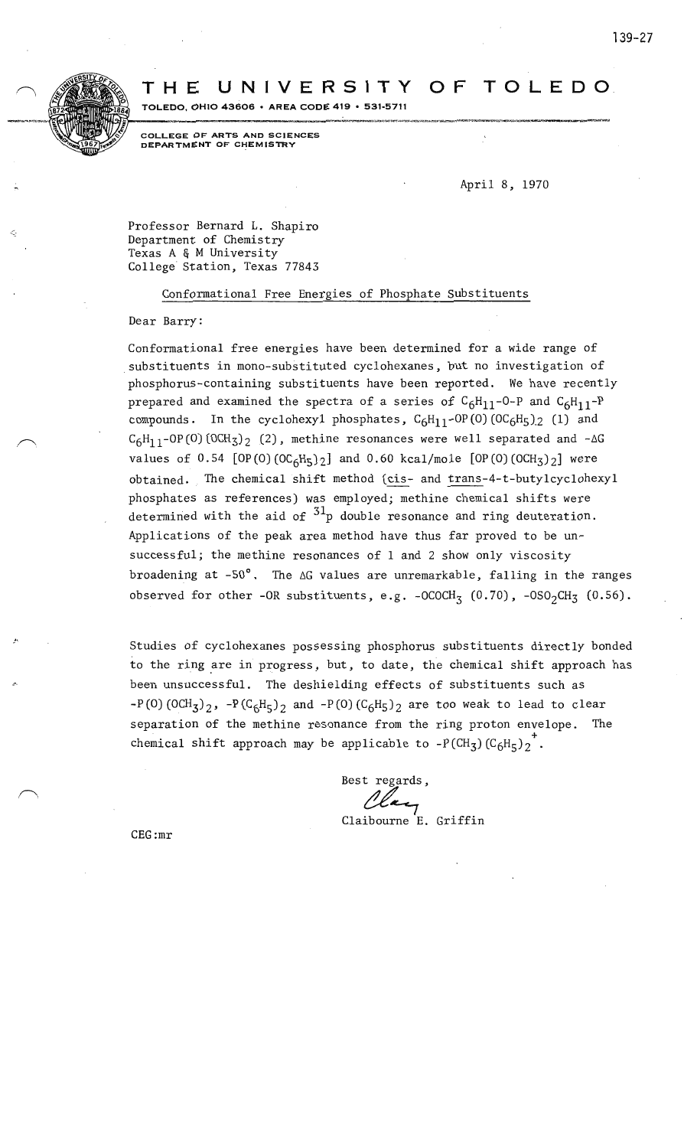

## (\ **THE UNIVERSITY OF TOLEDO**

**TOLEDO, OHIO 43606** • **AREA CODE 419** • **531-5711** 

**COLLEGE OF ARTS AND SCIENCES DEPARTMENT OF CHEMISTRY** 

April 8, 1970

Professor Bernard L. Shapiro Department of Chemistry Texas A & M University College Station, Texas 77843

Conformational Free Energies of Phosphate Substituents

Dear Barry:

Conformational free energies have been determined for a wide range of .substituents in mono-substituted cyclohexanes, but no investigation of phosphorus-containing substituents have been reported. We have recently prepared and examined the spectra of a series of  $C_6H_{11}$ -0-P and  $C_6H_{11}$ -P compounds. In the cyclohexyl phosphates,  $C_6H_{11}$ -OP(O)(OC $_6H_5$ )<sub>2</sub> (1) and  $C_6H_{11}$ -OP(O)(OCH<sub>3</sub>)<sub>2</sub> (2), methine resonances were well separated and - $\Delta G$ values of 0.54  $[OP(0)(OC_6H_5)_2]$  and 0.60 kcal/mole  $[OP(0)(OCH_5)_2]$  were obtained. The chemical shift method (cis- and trans-4-t-butylcyclohexyl phosphates as references) was employed; methine chemical shifts were determined with the aid of  ${}^{31}p$  double resonance and ring deuteration. . Applications of the peak area method have thus far proved to be unsuccessful; the methine resonances of 1 and 2 show only viscosity broadening at  $-50^\circ$ . The  $\Delta G$  values are unremarkable, falling in the ranges observed for other -OR substituents, e.g. -OCOCH<sub>3</sub> (0.70), -OSO<sub>2</sub>CH<sub>3</sub> (0.56).

Studies of cyclohexanes possessing phosphorus substituents directly bonded to the ring are in progress, but, to date, the chemical shift approach has been unsuccessful. The deshielding effects of substituents such as  $-P(0)(OCH<sub>3</sub>)<sub>2</sub>$ ,  $-P(C<sub>6</sub>H<sub>5</sub>)<sub>2</sub>$  and  $-P(0)(C<sub>6</sub>H<sub>5</sub>)<sub>2</sub>$  are too weak to lead to clear separation of the methine resonance from the ring proton envelope. The chemical shift approach may be applicable to  $-P (CH_3) (C_6H_5)_2$ .

Best regards,<br>*Claibourne* E.

Claibourne E. Griffin

CEG:mr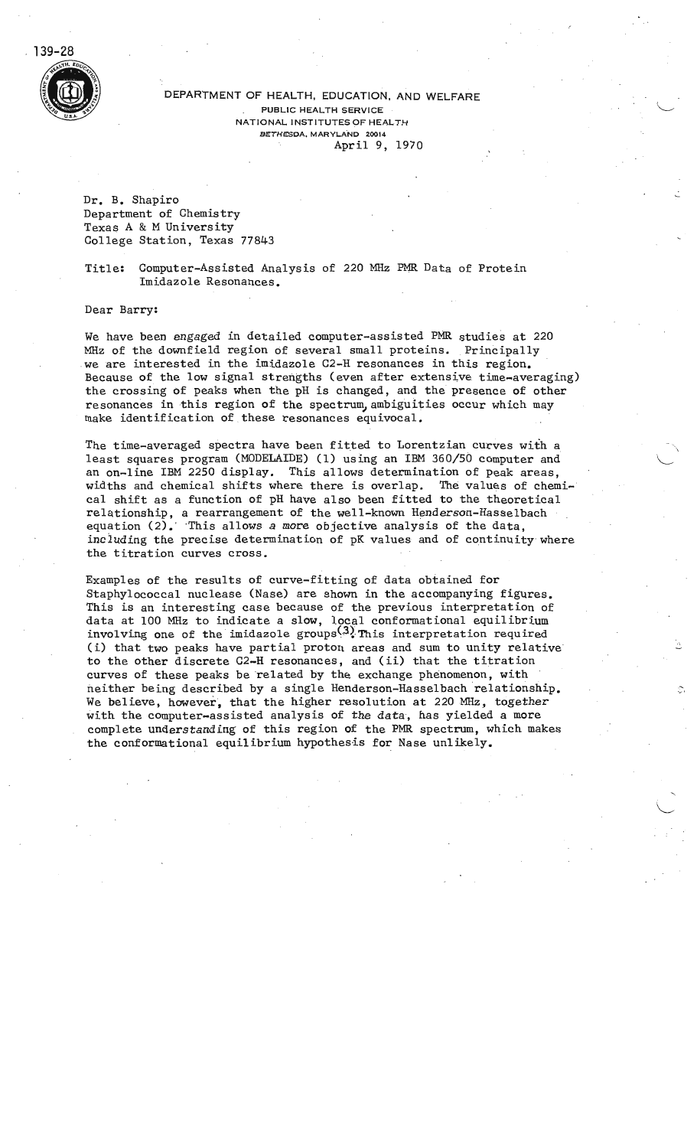

DEPARTMENT OF HEALTH, EDUCATION, AND WELFARE PUBLIC HEALTH SERVICE NATIONAL INSTITUTES OF HEALTH BETHESDA, MARYLAND 20014 April 9, 1970

Dr. B. Shapiro Department of Chemistry Texas A & M University College Station, Texas 77843

Title: Computer-Assisted Analysis of 220 MHz PMR Data of Protein Imidazole Resonances.

Dear Barry:

We have been engaged in detailed computer-assisted PMR studies at 220 MHz of the downfield region of several small proteins. Principally we are interested in the imidazole C2-H resonances in this region. Because of the low signal strengths (even after extensive time-averaging) the crossing Of peaks when the pH is changed, and the presence of other resonances in this region of the spectrum, ambiguities occur which may make identification of these resonances equivocal.

The time-averaged spectra have been fitted to Lorentzian curves with a least squares program (MODELAIDE) (1) using an IBM 360/50 computer and an on-line IBM 2250 display. This allows determination of peak areas, widths and chemical shifts where there is overlap. The values of chemical shift as a function of pH have also been fitted to the theoretical relationship, a rearrangement of the well-known Henderson-Hasselbach equation  $(2)$ . This allows a more objective analysis of the data, including the precise determination of pK values and of continuity where the titration curves cross.

Examples of the results of curve-fitting of data obtained for Staphylococcal nuclease (Nase) are shown in the accompanying figures. This is an interesting case because of the previous interpretation of data at 100 MHz to indicate a slow, local conformational equilibrium involving one of the imidazole groups<sup>(3)</sup>. This interpretation required (i) that two peaks have partial proton areas and sum to unity relative to the other discrete C2-H resonances, and (ii) that the titration curves of these peaks be related by the exchange phenomenon, with neither being described by a single Henderson-Hasselbach relationship. We believe, however, that the higher resolution at 220 MHz, together with the computer-assisted analysis of the data, has yielded a more complete understanding of this region of the PMR spectrum, which makes the conformational equilibrium hypothesis for Nase unlikely.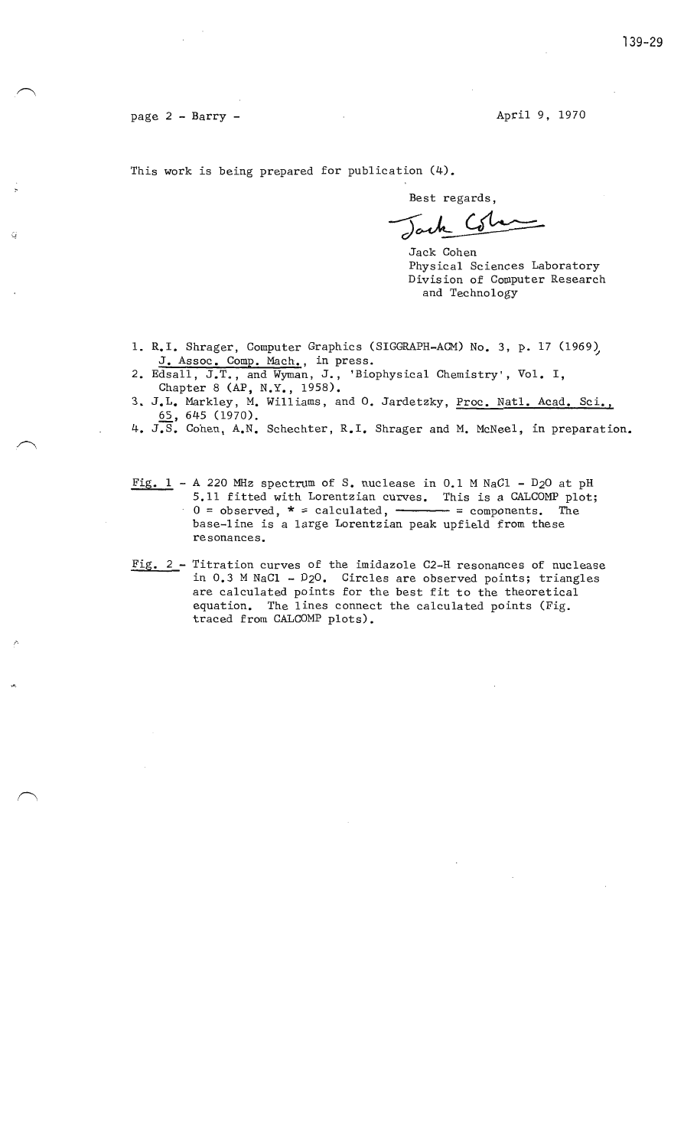page 2 - Barry - April 9, 1970

This work is being prepared for publication (4).

Best regards,

Jack Cohen Physical Sciences Laboratory Division of Computer Research and Technology

- 1. R.I. Shrager, Computer Graphics (SIGGRAPH-ACM) No. 3, p. 17 (1969) J. Assoc. Comp. Mach., in press.
- 2. Edsall, J.T., and Wyman, J., 'Biophysical Chemistry', Vol. I, Chapter 8 (AP, N.Y., 1958).
- 3. J.L. Markley, M. Williams, and O. Jardetzky, Proc. Natl. Acad. Sci., 65, 645 (1970).
- 4. J:S. Cohen, A.N. Schechter, R.I. Shrager and M. McNeel, in preparation.
- Fig.  $1 A$  220 MHz spectrum of S. nuclease in 0.1 M NaCl D<sub>2</sub>O at pH 5,11 fitted with Lorentzian curves. This is a CALCOMP plot;  $0 =$  observed,  $* =$  calculated,  $-$ ------- = components. The base-line is a large Lorentzian peak upfield from these resonances.
- Fig. 2 Titration curves of the imidazole C2-H resonances of nuclease in 0,3 M NaCl - D20. Circles are observed points; triangles are calculated points for the best fit to the theoretical equation. The lines connect the calculated points (Fig. traced from CALCOMP plots).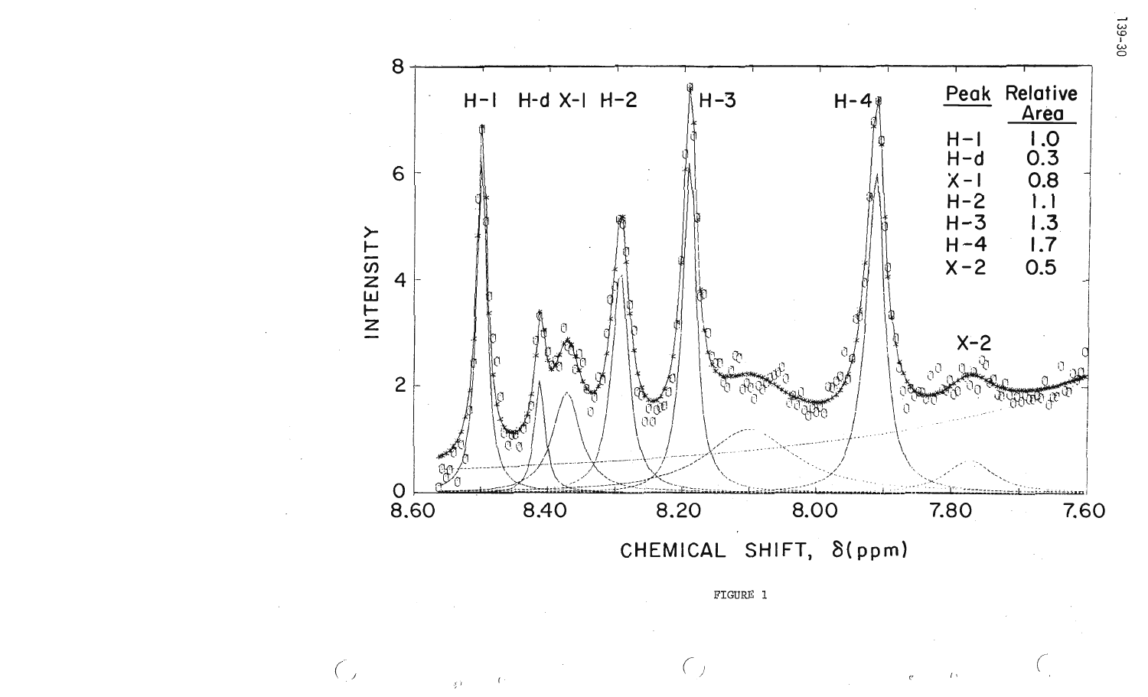

FIGURE 1

 $\bigcap$ 

χÝ

139-30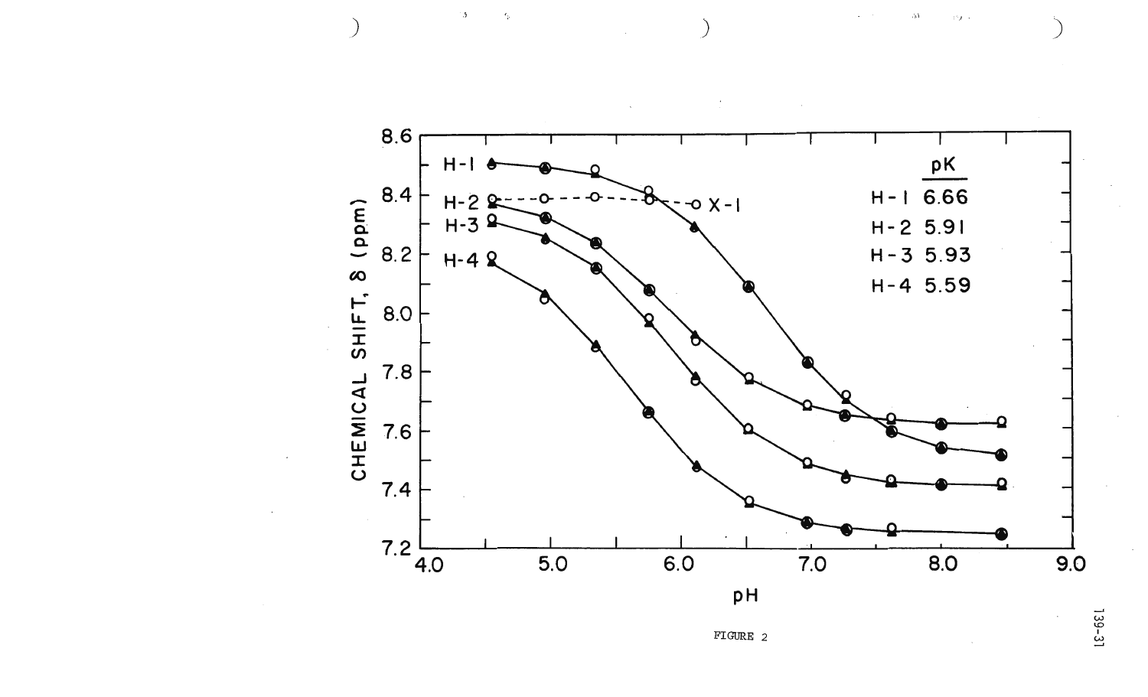

 $\ell\vec{x}$ 

 $\bar{\mathcal{O}}(j)$  .

 $\beta$ 

 $\epsilon_{\rm p}$ 

FIGURE 2

139-31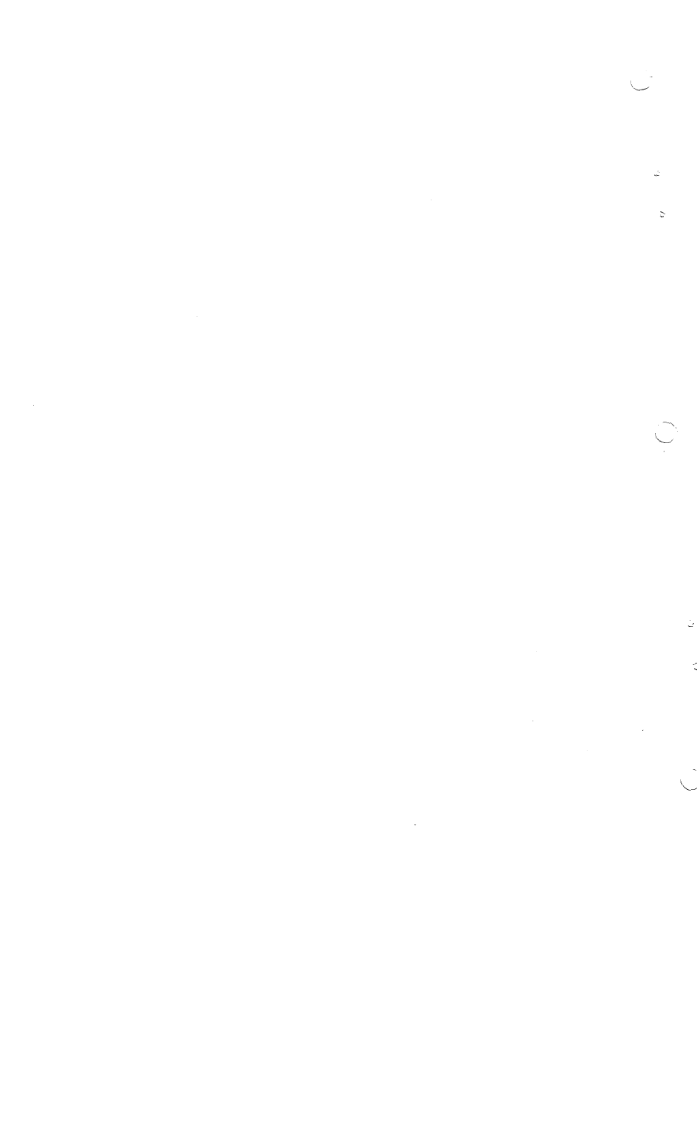$\mathcal{L}^{\pm}$  $\ddot{\phi}$  $\mathcal{L}_{\text{max}}$  and  $\mathcal{L}_{\text{max}}$ 

 $\label{eq:2.1} \frac{1}{\sqrt{2\pi}}\left(\frac{1}{\sqrt{2\pi}}\right)^{1/2}\left(\frac{1}{\sqrt{2\pi}}\right)^{1/2}\left(\frac{1}{\sqrt{2\pi}}\right)^{1/2}\left(\frac{1}{\sqrt{2\pi}}\right)^{1/2}\left(\frac{1}{\sqrt{2\pi}}\right)^{1/2}\left(\frac{1}{\sqrt{2\pi}}\right)^{1/2}\left(\frac{1}{\sqrt{2\pi}}\right)^{1/2}\left(\frac{1}{\sqrt{2\pi}}\right)^{1/2}\left(\frac{1}{\sqrt{2\pi}}\right)^{1/2}\left(\frac{1}{\sqrt{$  $\mathcal{L}^{\text{max}}_{\text{max}}$  and  $\mathcal{L}^{\text{max}}_{\text{max}}$ 

 $\ddot{\cdot}$ 

 $\ddot{\phantom{0}}$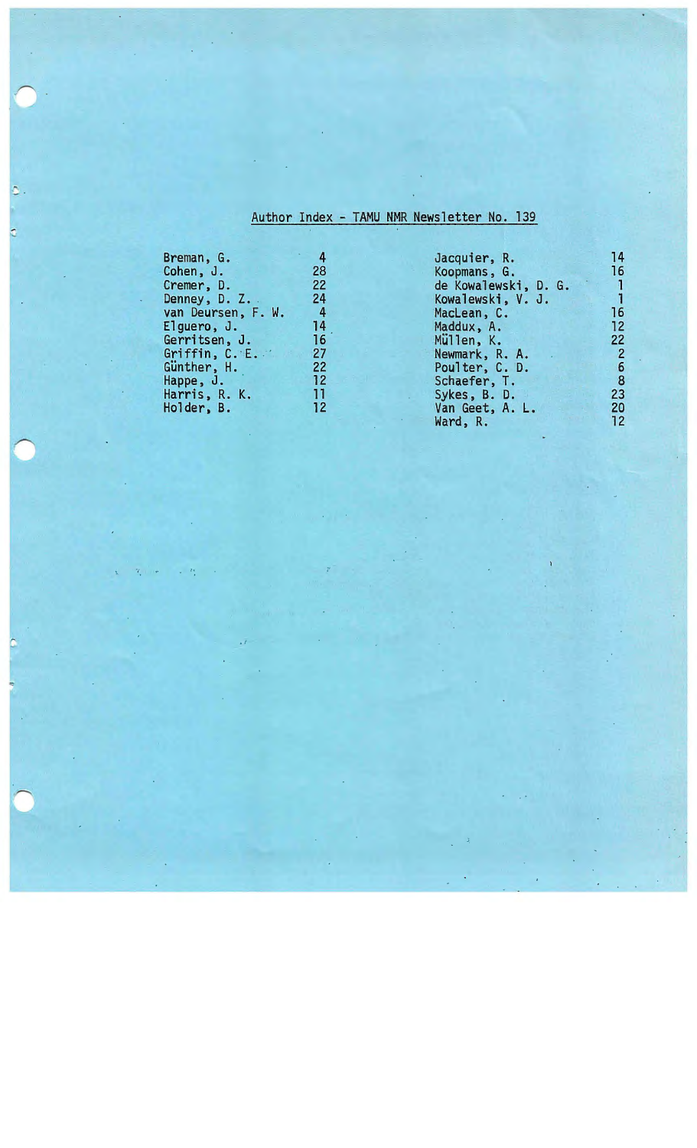## Author Index - TAMU NMR Newsletter No. 139

| Breman, G.         | 4              | Jacquier, R.         | 14             |
|--------------------|----------------|----------------------|----------------|
| Cohen, J.          | 28             | Koopmans, G.         | 16             |
| Cremer, D.         | 22             | de Kowalewski, D. G. |                |
| Denney, $D. Z.$    | 24             | Kowalewski, V. J.    |                |
| van Deursen, F. W. | $\overline{4}$ | MacLean, C.          | 16             |
| Elguero, J.        | 14             | Maddux, A.           | 12             |
| Gerritsen, J.      | 16             | Müllen, K.           | 22             |
| Griffin, C. E.     | 27             | Newmark, R. A.       | $\overline{2}$ |
| Günther, H.        | 22             | Poulter, C. D.       | 6              |
| Happe, J.          | 12             | Schaefer, T.         | 8              |
| Harris, R. K.      | 11             | Sykes, B. D.         | 23             |
| Holder, B.         | 12             | Van Geet, A. L.      | 20             |
|                    |                | Ward, R.             | 12             |